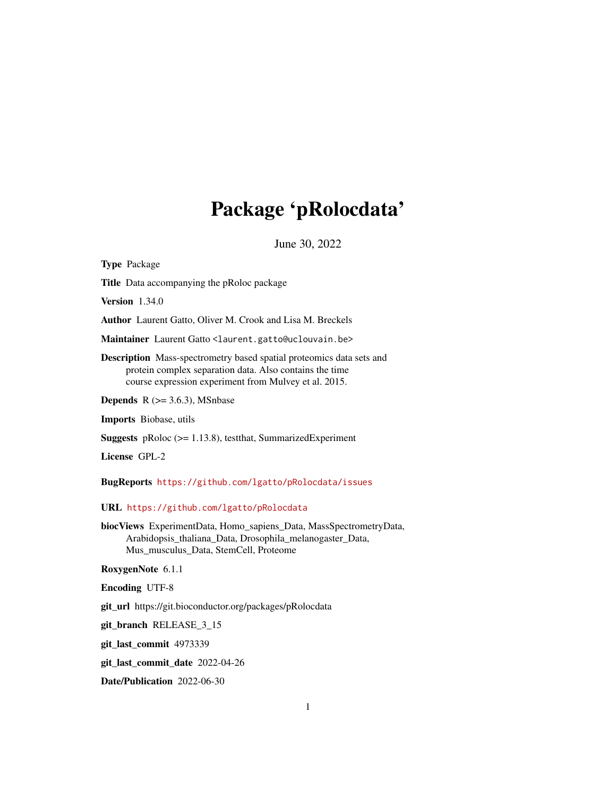# Package 'pRolocdata'

June 30, 2022

<span id="page-0-0"></span>Type Package Title Data accompanying the pRoloc package Version 1.34.0 Author Laurent Gatto, Oliver M. Crook and Lisa M. Breckels Maintainer Laurent Gatto <laurent.gatto@uclouvain.be> Description Mass-spectrometry based spatial proteomics data sets and protein complex separation data. Also contains the time course expression experiment from Mulvey et al. 2015. **Depends** R  $(>= 3.6.3)$ , MSnbase Imports Biobase, utils Suggests pRoloc (>= 1.13.8), testthat, SummarizedExperiment License GPL-2 BugReports <https://github.com/lgatto/pRolocdata/issues> URL <https://github.com/lgatto/pRolocdata> biocViews ExperimentData, Homo\_sapiens\_Data, MassSpectrometryData, Arabidopsis\_thaliana\_Data, Drosophila\_melanogaster\_Data, Mus\_musculus\_Data, StemCell, Proteome RoxygenNote 6.1.1 Encoding UTF-8 git\_url https://git.bioconductor.org/packages/pRolocdata git\_branch RELEASE\_3\_15 git\_last\_commit 4973339 git\_last\_commit\_date 2022-04-26 Date/Publication 2022-06-30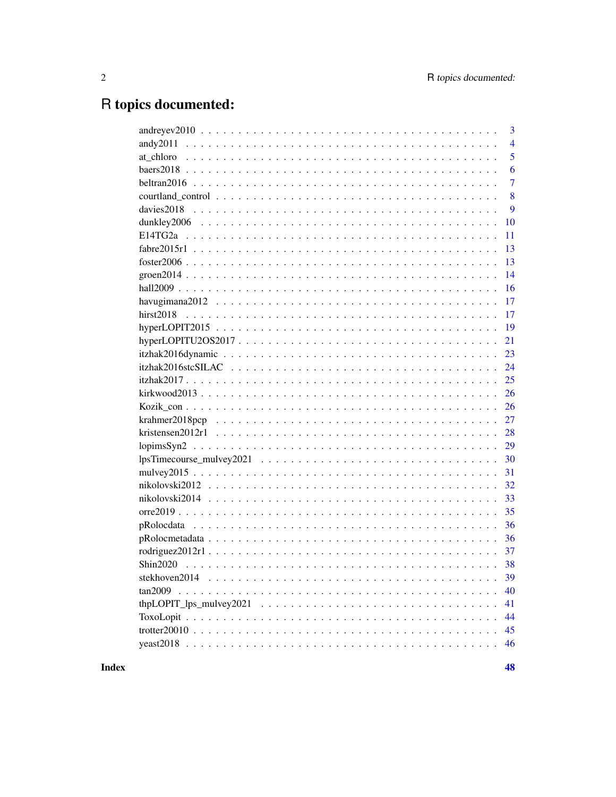# R topics documented:

| $and \nrevev2010 \ldots \ldots \ldots \ldots \ldots \ldots \ldots \ldots \ldots \ldots \ldots \ldots \ldots$ | 3              |
|--------------------------------------------------------------------------------------------------------------|----------------|
|                                                                                                              | $\overline{4}$ |
|                                                                                                              | 5              |
|                                                                                                              | 6              |
|                                                                                                              | $\overline{7}$ |
|                                                                                                              | 8              |
|                                                                                                              | 9              |
| 10                                                                                                           |                |
| 11                                                                                                           |                |
| 13                                                                                                           |                |
| 13                                                                                                           |                |
| 14                                                                                                           |                |
| 16                                                                                                           |                |
| 17                                                                                                           |                |
| 17                                                                                                           |                |
| 19                                                                                                           |                |
| $hyperLOPITU2OS2017$<br>21                                                                                   |                |
| 23                                                                                                           |                |
| 24                                                                                                           |                |
| 25                                                                                                           |                |
| 26                                                                                                           |                |
| 26                                                                                                           |                |
| 27                                                                                                           |                |
| 28                                                                                                           |                |
| 29                                                                                                           |                |
| 30                                                                                                           |                |
| 31                                                                                                           |                |
| 32                                                                                                           |                |
| 33                                                                                                           |                |
| 35                                                                                                           |                |
| 36                                                                                                           |                |
| 36                                                                                                           |                |
| 37                                                                                                           |                |
|                                                                                                              |                |
|                                                                                                              |                |
| 40<br>tan2009                                                                                                |                |
| $thpLOPIT_lps_mulvey2021 \ldots \ldots \ldots \ldots \ldots \ldots \ldots \ldots \ldots \ldots$<br>41        |                |
| 44                                                                                                           |                |
| 45                                                                                                           |                |
| 46                                                                                                           |                |
|                                                                                                              |                |

**Index**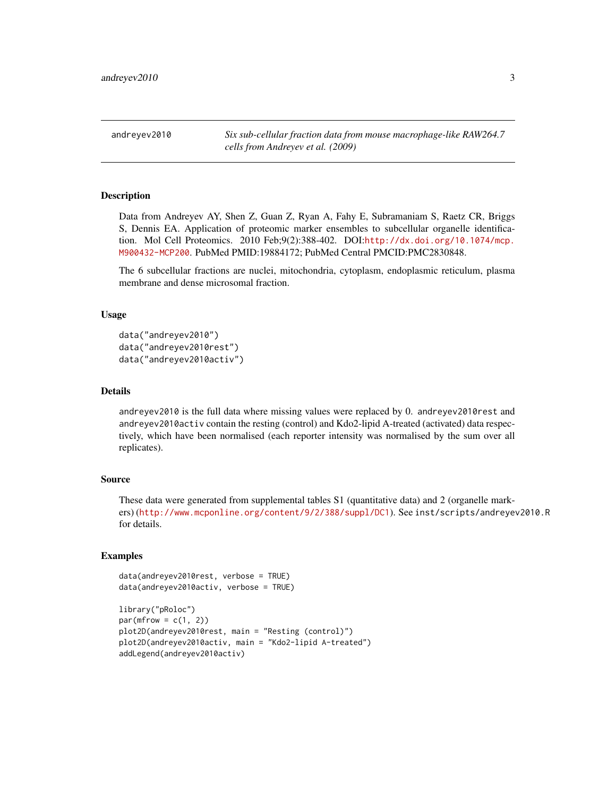<span id="page-2-0"></span>andreyev2010 *Six sub-cellular fraction data from mouse macrophage-like RAW264.7 cells from Andreyev et al. (2009)*

#### Description

Data from Andreyev AY, Shen Z, Guan Z, Ryan A, Fahy E, Subramaniam S, Raetz CR, Briggs S, Dennis EA. Application of proteomic marker ensembles to subcellular organelle identification. Mol Cell Proteomics. 2010 Feb;9(2):388-402. DOI:[http://dx.doi.org/10.1074/mcp.](http://dx.doi.org/10.1074/mcp.M900432-MCP200) [M900432-MCP200](http://dx.doi.org/10.1074/mcp.M900432-MCP200). PubMed PMID:19884172; PubMed Central PMCID:PMC2830848.

The 6 subcellular fractions are nuclei, mitochondria, cytoplasm, endoplasmic reticulum, plasma membrane and dense microsomal fraction.

# Usage

```
data("andreyev2010")
data("andreyev2010rest")
data("andreyev2010activ")
```
#### Details

andreyev2010 is the full data where missing values were replaced by 0. andreyev2010rest and andreyev2010activ contain the resting (control) and Kdo2-lipid A-treated (activated) data respectively, which have been normalised (each reporter intensity was normalised by the sum over all replicates).

# Source

These data were generated from supplemental tables S1 (quantitative data) and 2 (organelle markers) (<http://www.mcponline.org/content/9/2/388/suppl/DC1>). See inst/scripts/andreyev2010.R for details.

```
data(andreyev2010rest, verbose = TRUE)
data(andreyev2010activ, verbose = TRUE)
```

```
library("pRoloc")
par(mfrow = c(1, 2))plot2D(andreyev2010rest, main = "Resting (control)")
plot2D(andreyev2010activ, main = "Kdo2-lipid A-treated")
addLegend(andreyev2010activ)
```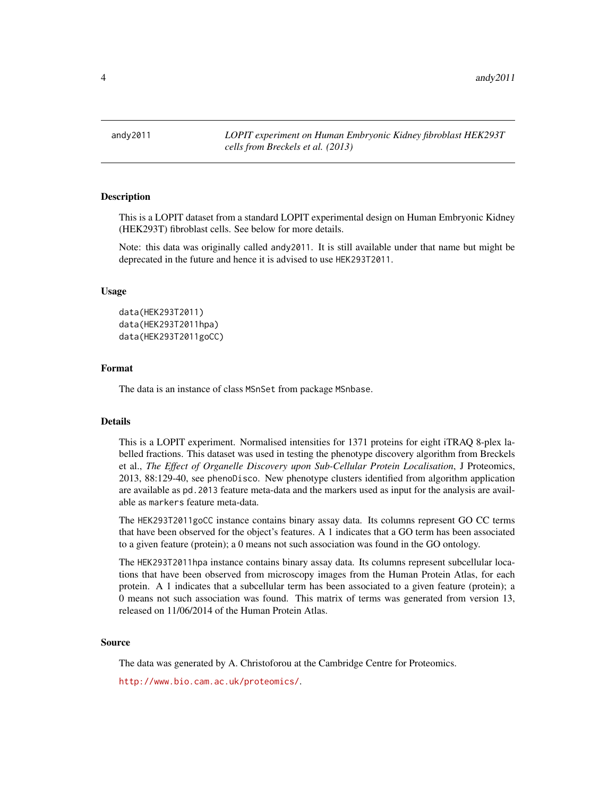<span id="page-3-0"></span>4 andy2011

andy2011 *LOPIT experiment on Human Embryonic Kidney fibroblast HEK293T cells from Breckels et al. (2013)*

#### **Description**

This is a LOPIT dataset from a standard LOPIT experimental design on Human Embryonic Kidney (HEK293T) fibroblast cells. See below for more details.

Note: this data was originally called andy2011. It is still available under that name but might be deprecated in the future and hence it is advised to use HEK293T2011.

#### Usage

```
data(HEK293T2011)
data(HEK293T2011hpa)
data(HEK293T2011goCC)
```
#### Format

The data is an instance of class MSnSet from package MSnbase.

#### Details

This is a LOPIT experiment. Normalised intensities for 1371 proteins for eight iTRAQ 8-plex labelled fractions. This dataset was used in testing the phenotype discovery algorithm from Breckels et al., *The Effect of Organelle Discovery upon Sub-Cellular Protein Localisation*, J Proteomics, 2013, 88:129-40, see phenoDisco. New phenotype clusters identified from algorithm application are available as pd.2013 feature meta-data and the markers used as input for the analysis are available as markers feature meta-data.

The HEK293T2011goCC instance contains binary assay data. Its columns represent GO CC terms that have been observed for the object's features. A 1 indicates that a GO term has been associated to a given feature (protein); a 0 means not such association was found in the GO ontology.

The HEK293T2011hpa instance contains binary assay data. Its columns represent subcellular locations that have been observed from microscopy images from the Human Protein Atlas, for each protein. A 1 indicates that a subcellular term has been associated to a given feature (protein); a 0 means not such association was found. This matrix of terms was generated from version 13, released on 11/06/2014 of the Human Protein Atlas.

#### Source

The data was generated by A. Christoforou at the Cambridge Centre for Proteomics.

<http://www.bio.cam.ac.uk/proteomics/>.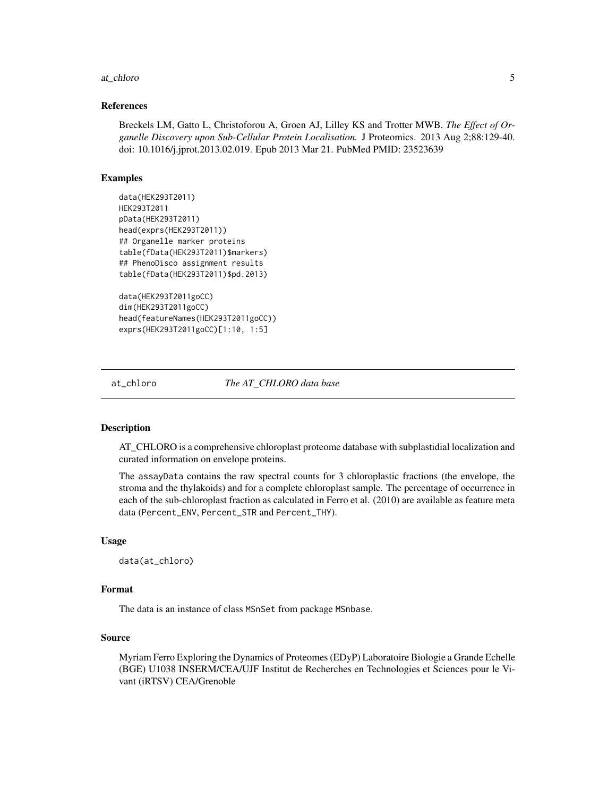#### <span id="page-4-0"></span>at\_chloro 5

#### References

Breckels LM, Gatto L, Christoforou A, Groen AJ, Lilley KS and Trotter MWB. *The Effect of Organelle Discovery upon Sub-Cellular Protein Localisation.* J Proteomics. 2013 Aug 2;88:129-40. doi: 10.1016/j.jprot.2013.02.019. Epub 2013 Mar 21. PubMed PMID: 23523639

# Examples

```
data(HEK293T2011)
HEK293T2011
pData(HEK293T2011)
head(exprs(HEK293T2011))
## Organelle marker proteins
table(fData(HEK293T2011)$markers)
## PhenoDisco assignment results
table(fData(HEK293T2011)$pd.2013)
data(HEK293T2011goCC)
```

```
dim(HEK293T2011goCC)
head(featureNames(HEK293T2011goCC))
exprs(HEK293T2011goCC)[1:10, 1:5]
```
at\_chloro *The AT\_CHLORO data base*

# **Description**

AT\_CHLORO is a comprehensive chloroplast proteome database with subplastidial localization and curated information on envelope proteins.

The assayData contains the raw spectral counts for 3 chloroplastic fractions (the envelope, the stroma and the thylakoids) and for a complete chloroplast sample. The percentage of occurrence in each of the sub-chloroplast fraction as calculated in Ferro et al. (2010) are available as feature meta data (Percent\_ENV, Percent\_STR and Percent\_THY).

#### Usage

data(at\_chloro)

#### Format

The data is an instance of class MSnSet from package MSnbase.

#### Source

Myriam Ferro Exploring the Dynamics of Proteomes (EDyP) Laboratoire Biologie a Grande Echelle (BGE) U1038 INSERM/CEA/UJF Institut de Recherches en Technologies et Sciences pour le Vivant (iRTSV) CEA/Grenoble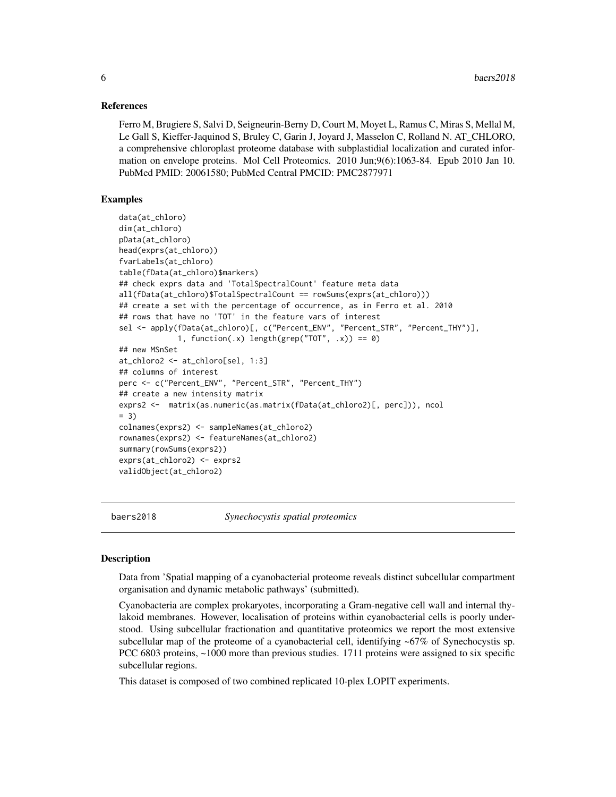#### <span id="page-5-0"></span>References

Ferro M, Brugiere S, Salvi D, Seigneurin-Berny D, Court M, Moyet L, Ramus C, Miras S, Mellal M, Le Gall S, Kieffer-Jaquinod S, Bruley C, Garin J, Joyard J, Masselon C, Rolland N. AT\_CHLORO, a comprehensive chloroplast proteome database with subplastidial localization and curated information on envelope proteins. Mol Cell Proteomics. 2010 Jun;9(6):1063-84. Epub 2010 Jan 10. PubMed PMID: 20061580; PubMed Central PMCID: PMC2877971

# Examples

```
data(at_chloro)
dim(at_chloro)
pData(at_chloro)
head(exprs(at_chloro))
fvarLabels(at_chloro)
table(fData(at_chloro)$markers)
## check exprs data and 'TotalSpectralCount' feature meta data
all(fData(at_chloro)$TotalSpectralCount == rowSums(exprs(at_chloro)))
## create a set with the percentage of occurrence, as in Ferro et al. 2010
## rows that have no 'TOT' in the feature vars of interest
sel <- apply(fData(at_chloro)[, c("Percent_ENV", "Percent_STR", "Percent_THY")],
             1, function(.x) length(grep("TOT", .x)) == 0)
## new MSnSet
at_chloro2 <- at_chloro[sel, 1:3]
## columns of interest
perc <- c("Percent_ENV", "Percent_STR", "Percent_THY")
## create a new intensity matrix
exprs2 <- matrix(as.numeric(as.matrix(fData(at_chloro2)[, perc])), ncol
= 3)colnames(exprs2) <- sampleNames(at_chloro2)
rownames(exprs2) <- featureNames(at_chloro2)
summary(rowSums(exprs2))
exprs(at_chloro2) <- exprs2
validObject(at_chloro2)
```
baers2018 *Synechocystis spatial proteomics*

# **Description**

Data from 'Spatial mapping of a cyanobacterial proteome reveals distinct subcellular compartment organisation and dynamic metabolic pathways' (submitted).

Cyanobacteria are complex prokaryotes, incorporating a Gram-negative cell wall and internal thylakoid membranes. However, localisation of proteins within cyanobacterial cells is poorly understood. Using subcellular fractionation and quantitative proteomics we report the most extensive subcellular map of the proteome of a cyanobacterial cell, identifying ~67% of Synechocystis sp. PCC 6803 proteins, ~1000 more than previous studies. 1711 proteins were assigned to six specific subcellular regions.

This dataset is composed of two combined replicated 10-plex LOPIT experiments.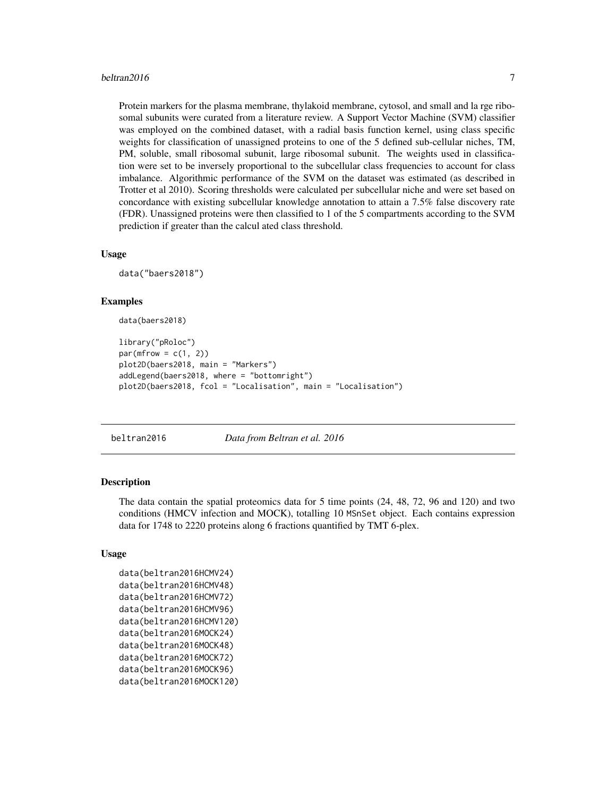#### <span id="page-6-0"></span>beltran2016  $\frac{7}{2}$

Protein markers for the plasma membrane, thylakoid membrane, cytosol, and small and la rge ribosomal subunits were curated from a literature review. A Support Vector Machine (SVM) classifier was employed on the combined dataset, with a radial basis function kernel, using class specific weights for classification of unassigned proteins to one of the 5 defined sub-cellular niches, TM, PM, soluble, small ribosomal subunit, large ribosomal subunit. The weights used in classification were set to be inversely proportional to the subcellular class frequencies to account for class imbalance. Algorithmic performance of the SVM on the dataset was estimated (as described in Trotter et al 2010). Scoring thresholds were calculated per subcellular niche and were set based on concordance with existing subcellular knowledge annotation to attain a 7.5% false discovery rate (FDR). Unassigned proteins were then classified to 1 of the 5 compartments according to the SVM prediction if greater than the calcul ated class threshold.

# Usage

data("baers2018")

#### Examples

data(baers2018)

```
library("pRoloc")
par(mfrow = c(1, 2))plot2D(baers2018, main = "Markers")
addLegend(baers2018, where = "bottomright")
plot2D(baers2018, fcol = "Localisation", main = "Localisation")
```
#### beltran2016 *Data from Beltran et al. 2016*

#### Description

The data contain the spatial proteomics data for 5 time points (24, 48, 72, 96 and 120) and two conditions (HMCV infection and MOCK), totalling 10 MSnSet object. Each contains expression data for 1748 to 2220 proteins along 6 fractions quantified by TMT 6-plex.

# Usage

```
data(beltran2016HCMV24)
data(beltran2016HCMV48)
data(beltran2016HCMV72)
data(beltran2016HCMV96)
data(beltran2016HCMV120)
data(beltran2016MOCK24)
data(beltran2016MOCK48)
data(beltran2016MOCK72)
data(beltran2016MOCK96)
data(beltran2016MOCK120)
```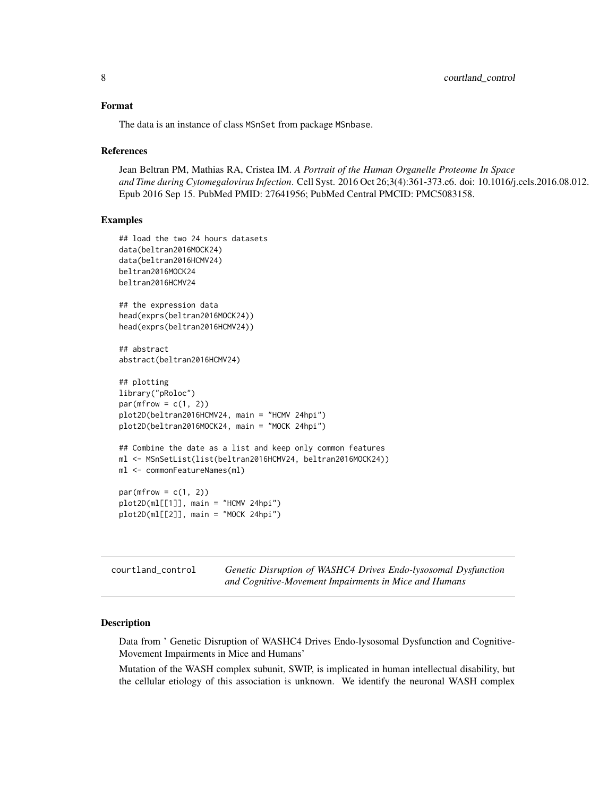#### <span id="page-7-0"></span>Format

The data is an instance of class MSnSet from package MSnbase.

#### References

```
Jean Beltran PM, Mathias RA, Cristea IM. A Portrait of the Human Organelle Proteome In Space
and Time during Cytomegalovirus Infection. Cell Syst. 2016 Oct 26;3(4):361-373.e6. doi: 10.1016/j.cels.2016.08.012.
Epub 2016 Sep 15. PubMed PMID: 27641956; PubMed Central PMCID: PMC5083158.
```
# Examples

```
## load the two 24 hours datasets
data(beltran2016MOCK24)
data(beltran2016HCMV24)
beltran2016MOCK24
beltran2016HCMV24
## the expression data
head(exprs(beltran2016MOCK24))
head(exprs(beltran2016HCMV24))
## abstract
abstract(beltran2016HCMV24)
## plotting
library("pRoloc")
par(mfrow = c(1, 2))plot2D(beltran2016HCMV24, main = "HCMV 24hpi")
plot2D(beltran2016MOCK24, main = "MOCK 24hpi")
## Combine the date as a list and keep only common features
ml <- MSnSetList(list(beltran2016HCMV24, beltran2016MOCK24))
ml <- commonFeatureNames(ml)
par(mfrow = c(1, 2))plot2D(ml[[1]], main = "HCMV 24hpi")
plot2D(ml[[2]], main = "MOCK 24hpi")
```

| courtland_control | Genetic Disruption of WASHC4 Drives Endo-lysosomal Dysfunction |
|-------------------|----------------------------------------------------------------|
|                   | and Cognitive-Movement Impairments in Mice and Humans          |

# **Description**

Data from ' Genetic Disruption of WASHC4 Drives Endo-lysosomal Dysfunction and Cognitive-Movement Impairments in Mice and Humans'

Mutation of the WASH complex subunit, SWIP, is implicated in human intellectual disability, but the cellular etiology of this association is unknown. We identify the neuronal WASH complex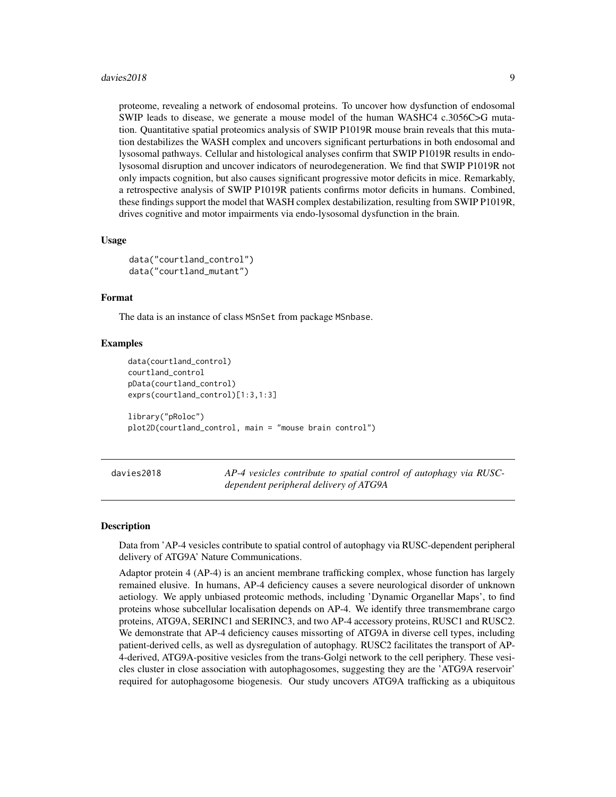#### <span id="page-8-0"></span>davies2018 99 and the set of the set of the set of the set of the set of the set of the set of the set of the set of the set of the set of the set of the set of the set of the set of the set of the set of the set of the se

proteome, revealing a network of endosomal proteins. To uncover how dysfunction of endosomal SWIP leads to disease, we generate a mouse model of the human WASHC4 c.3056C>G mutation. Quantitative spatial proteomics analysis of SWIP P1019R mouse brain reveals that this mutation destabilizes the WASH complex and uncovers significant perturbations in both endosomal and lysosomal pathways. Cellular and histological analyses confirm that SWIP P1019R results in endolysosomal disruption and uncover indicators of neurodegeneration. We find that SWIP P1019R not only impacts cognition, but also causes significant progressive motor deficits in mice. Remarkably, a retrospective analysis of SWIP P1019R patients confirms motor deficits in humans. Combined, these findings support the model that WASH complex destabilization, resulting from SWIP P1019R, drives cognitive and motor impairments via endo-lysosomal dysfunction in the brain.

#### Usage

```
data("courtland_control")
data("courtland_mutant")
```
# Format

The data is an instance of class MSnSet from package MSnbase.

# Examples

```
data(courtland_control)
courtland_control
pData(courtland_control)
exprs(courtland_control)[1:3,1:3]
library("pRoloc")
plot2D(courtland_control, main = "mouse brain control")
```
davies2018 *AP-4 vesicles contribute to spatial control of autophagy via RUSCdependent peripheral delivery of ATG9A*

#### Description

Data from 'AP-4 vesicles contribute to spatial control of autophagy via RUSC-dependent peripheral delivery of ATG9A' Nature Communications.

Adaptor protein 4 (AP-4) is an ancient membrane trafficking complex, whose function has largely remained elusive. In humans, AP-4 deficiency causes a severe neurological disorder of unknown aetiology. We apply unbiased proteomic methods, including 'Dynamic Organellar Maps', to find proteins whose subcellular localisation depends on AP-4. We identify three transmembrane cargo proteins, ATG9A, SERINC1 and SERINC3, and two AP-4 accessory proteins, RUSC1 and RUSC2. We demonstrate that AP-4 deficiency causes missorting of ATG9A in diverse cell types, including patient-derived cells, as well as dysregulation of autophagy. RUSC2 facilitates the transport of AP-4-derived, ATG9A-positive vesicles from the trans-Golgi network to the cell periphery. These vesicles cluster in close association with autophagosomes, suggesting they are the 'ATG9A reservoir' required for autophagosome biogenesis. Our study uncovers ATG9A trafficking as a ubiquitous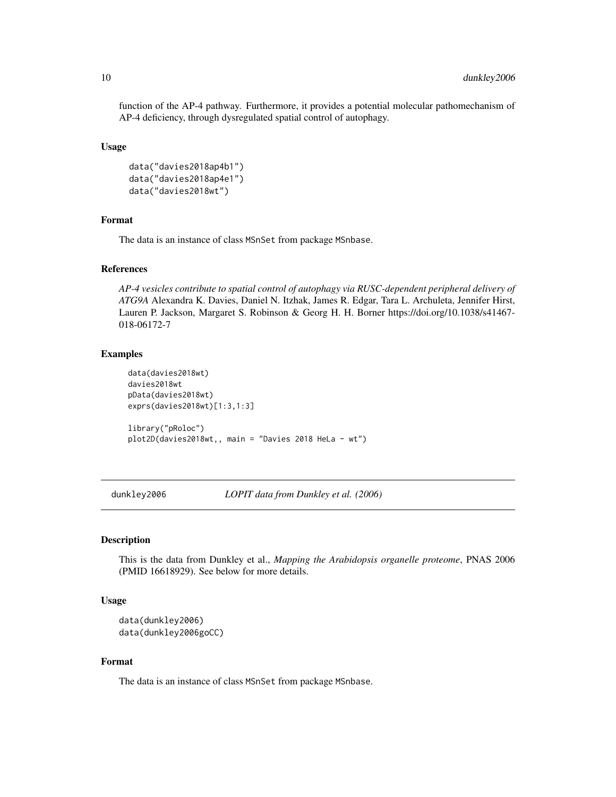<span id="page-9-0"></span>function of the AP-4 pathway. Furthermore, it provides a potential molecular pathomechanism of AP-4 deficiency, through dysregulated spatial control of autophagy.

#### Usage

```
data("davies2018ap4b1")
data("davies2018ap4e1")
data("davies2018wt")
```
# Format

The data is an instance of class MSnSet from package MSnbase.

#### References

*AP-4 vesicles contribute to spatial control of autophagy via RUSC-dependent peripheral delivery of ATG9A* Alexandra K. Davies, Daniel N. Itzhak, James R. Edgar, Tara L. Archuleta, Jennifer Hirst, Lauren P. Jackson, Margaret S. Robinson & Georg H. H. Borner https://doi.org/10.1038/s41467- 018-06172-7

# Examples

```
data(davies2018wt)
davies2018wt
pData(davies2018wt)
exprs(davies2018wt)[1:3,1:3]
library("pRoloc")
plot2D(davies2018wt,, main = "Davies 2018 HeLa - wt")
```
dunkley2006 *LOPIT data from Dunkley et al. (2006)*

# Description

This is the data from Dunkley et al., *Mapping the Arabidopsis organelle proteome*, PNAS 2006 (PMID 16618929). See below for more details.

#### Usage

```
data(dunkley2006)
data(dunkley2006goCC)
```
#### Format

The data is an instance of class MSnSet from package MSnbase.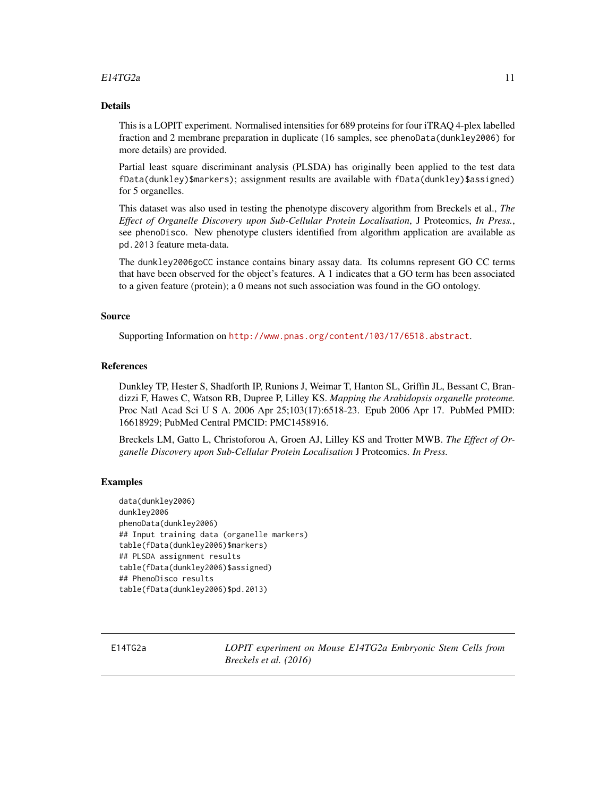# <span id="page-10-0"></span> $E14TG2a$  11

# Details

This is a LOPIT experiment. Normalised intensities for 689 proteins for four iTRAQ 4-plex labelled fraction and 2 membrane preparation in duplicate (16 samples, see phenoData(dunkley2006) for more details) are provided.

Partial least square discriminant analysis (PLSDA) has originally been applied to the test data fData(dunkley)\$markers); assignment results are available with fData(dunkley)\$assigned) for 5 organelles.

This dataset was also used in testing the phenotype discovery algorithm from Breckels et al., *The Effect of Organelle Discovery upon Sub-Cellular Protein Localisation*, J Proteomics, *In Press.*, see phenoDisco. New phenotype clusters identified from algorithm application are available as pd.2013 feature meta-data.

The dunkley2006goCC instance contains binary assay data. Its columns represent GO CC terms that have been observed for the object's features. A 1 indicates that a GO term has been associated to a given feature (protein); a 0 means not such association was found in the GO ontology.

# Source

Supporting Information on <http://www.pnas.org/content/103/17/6518.abstract>.

#### References

Dunkley TP, Hester S, Shadforth IP, Runions J, Weimar T, Hanton SL, Griffin JL, Bessant C, Brandizzi F, Hawes C, Watson RB, Dupree P, Lilley KS. *Mapping the Arabidopsis organelle proteome.* Proc Natl Acad Sci U S A. 2006 Apr 25;103(17):6518-23. Epub 2006 Apr 17. PubMed PMID: 16618929; PubMed Central PMCID: PMC1458916.

Breckels LM, Gatto L, Christoforou A, Groen AJ, Lilley KS and Trotter MWB. *The Effect of Organelle Discovery upon Sub-Cellular Protein Localisation* J Proteomics. *In Press.*

# Examples

```
data(dunkley2006)
dunkley2006
phenoData(dunkley2006)
## Input training data (organelle markers)
table(fData(dunkley2006)$markers)
## PLSDA assignment results
table(fData(dunkley2006)$assigned)
## PhenoDisco results
table(fData(dunkley2006)$pd.2013)
```
E14TG2a *LOPIT experiment on Mouse E14TG2a Embryonic Stem Cells from Breckels et al. (2016)*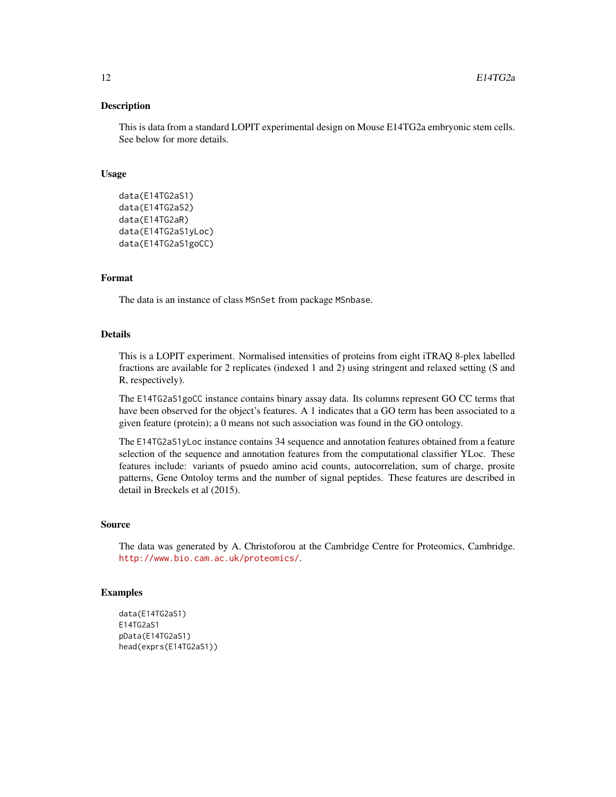# **Description**

This is data from a standard LOPIT experimental design on Mouse E14TG2a embryonic stem cells. See below for more details.

#### Usage

```
data(E14TG2aS1)
data(E14TG2aS2)
data(E14TG2aR)
data(E14TG2aS1yLoc)
data(E14TG2aS1goCC)
```
### Format

The data is an instance of class MSnSet from package MSnbase.

#### Details

This is a LOPIT experiment. Normalised intensities of proteins from eight iTRAQ 8-plex labelled fractions are available for 2 replicates (indexed 1 and 2) using stringent and relaxed setting (S and R, respectively).

The E14TG2aS1goCC instance contains binary assay data. Its columns represent GO CC terms that have been observed for the object's features. A 1 indicates that a GO term has been associated to a given feature (protein); a 0 means not such association was found in the GO ontology.

The E14TG2aS1yLoc instance contains 34 sequence and annotation features obtained from a feature selection of the sequence and annotation features from the computational classifier YLoc. These features include: variants of psuedo amino acid counts, autocorrelation, sum of charge, prosite patterns, Gene Ontoloy terms and the number of signal peptides. These features are described in detail in Breckels et al (2015).

#### Source

The data was generated by A. Christoforou at the Cambridge Centre for Proteomics, Cambridge. <http://www.bio.cam.ac.uk/proteomics/>.

```
data(E14TG2aS1)
E14TG2aS1
pData(E14TG2aS1)
head(exprs(E14TG2aS1))
```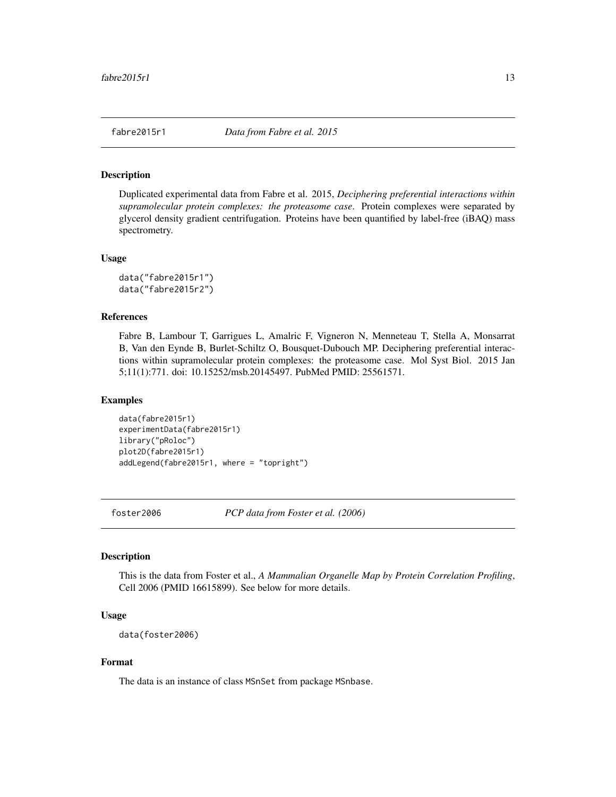#### <span id="page-12-0"></span>Description

Duplicated experimental data from Fabre et al. 2015, *Deciphering preferential interactions within supramolecular protein complexes: the proteasome case*. Protein complexes were separated by glycerol density gradient centrifugation. Proteins have been quantified by label-free (iBAQ) mass spectrometry.

#### Usage

data("fabre2015r1") data("fabre2015r2")

# References

Fabre B, Lambour T, Garrigues L, Amalric F, Vigneron N, Menneteau T, Stella A, Monsarrat B, Van den Eynde B, Burlet-Schiltz O, Bousquet-Dubouch MP. Deciphering preferential interactions within supramolecular protein complexes: the proteasome case. Mol Syst Biol. 2015 Jan 5;11(1):771. doi: 10.15252/msb.20145497. PubMed PMID: 25561571.

#### Examples

data(fabre2015r1) experimentData(fabre2015r1) library("pRoloc") plot2D(fabre2015r1) addLegend(fabre2015r1, where = "topright")

foster2006 *PCP data from Foster et al. (2006)*

# Description

This is the data from Foster et al., *A Mammalian Organelle Map by Protein Correlation Profiling*, Cell 2006 (PMID 16615899). See below for more details.

# Usage

data(foster2006)

#### Format

The data is an instance of class MSnSet from package MSnbase.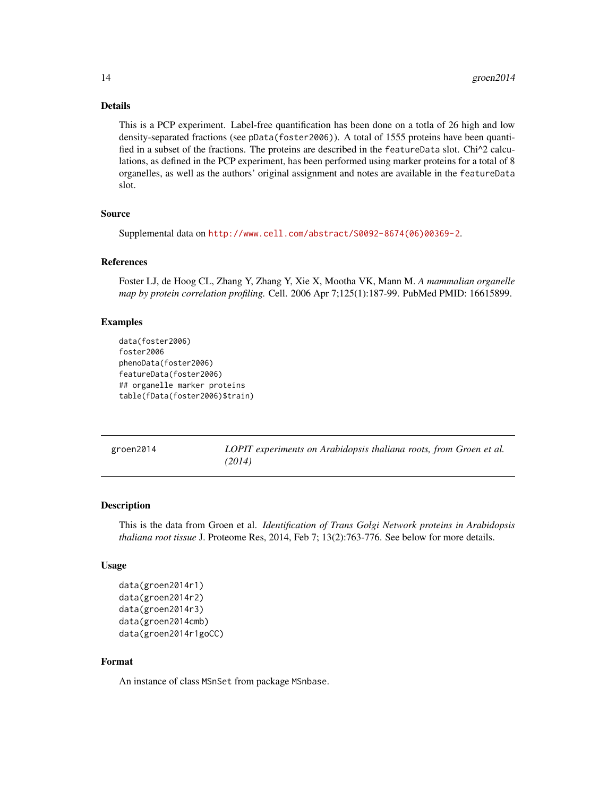#### Details

This is a PCP experiment. Label-free quantification has been done on a totla of 26 high and low density-separated fractions (see pData(foster2006)). A total of 1555 proteins have been quantified in a subset of the fractions. The proteins are described in the featureData slot. Chi^2 calculations, as defined in the PCP experiment, has been performed using marker proteins for a total of 8 organelles, as well as the authors' original assignment and notes are available in the featureData slot.

# Source

Supplemental data on [http://www.cell.com/abstract/S0092-8674\(06\)00369-2](http://www.cell.com/abstract/S0092-8674(06)00369-2).

# References

Foster LJ, de Hoog CL, Zhang Y, Zhang Y, Xie X, Mootha VK, Mann M. *A mammalian organelle map by protein correlation profiling.* Cell. 2006 Apr 7;125(1):187-99. PubMed PMID: 16615899.

# Examples

```
data(foster2006)
foster2006
phenoData(foster2006)
featureData(foster2006)
## organelle marker proteins
table(fData(foster2006)$train)
```
groen2014 *LOPIT experiments on Arabidopsis thaliana roots, from Groen et al. (2014)*

#### **Description**

This is the data from Groen et al. *Identification of Trans Golgi Network proteins in Arabidopsis thaliana root tissue* J. Proteome Res, 2014, Feb 7; 13(2):763-776. See below for more details.

# Usage

```
data(groen2014r1)
data(groen2014r2)
data(groen2014r3)
data(groen2014cmb)
data(groen2014r1goCC)
```
# Format

An instance of class MSnSet from package MSnbase.

<span id="page-13-0"></span>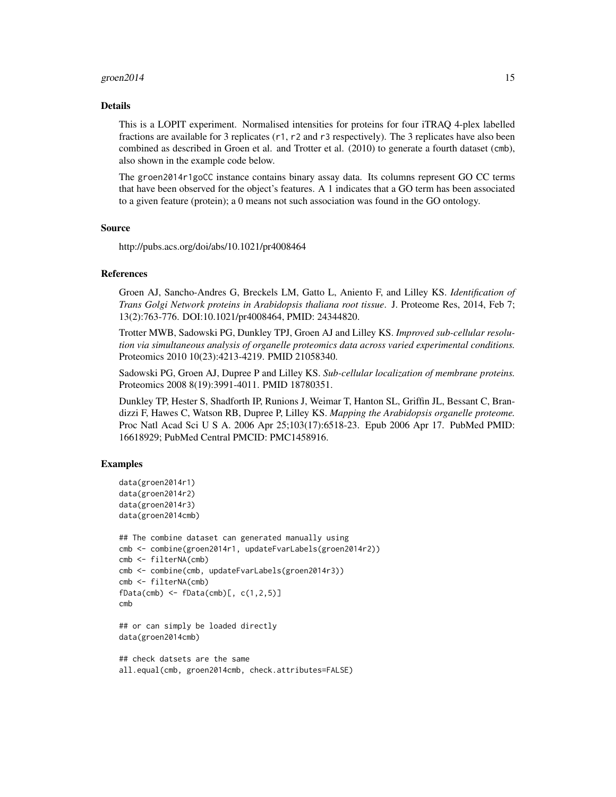#### groen  $2014$  15

#### Details

This is a LOPIT experiment. Normalised intensities for proteins for four iTRAQ 4-plex labelled fractions are available for 3 replicates (r1, r2 and r3 respectively). The 3 replicates have also been combined as described in Groen et al. and Trotter et al. (2010) to generate a fourth dataset (cmb), also shown in the example code below.

The groen2014r1goCC instance contains binary assay data. Its columns represent GO CC terms that have been observed for the object's features. A 1 indicates that a GO term has been associated to a given feature (protein); a 0 means not such association was found in the GO ontology.

#### Source

http://pubs.acs.org/doi/abs/10.1021/pr4008464

#### References

Groen AJ, Sancho-Andres G, Breckels LM, Gatto L, Aniento F, and Lilley KS. *Identification of Trans Golgi Network proteins in Arabidopsis thaliana root tissue*. J. Proteome Res, 2014, Feb 7; 13(2):763-776. DOI:10.1021/pr4008464, PMID: 24344820.

Trotter MWB, Sadowski PG, Dunkley TPJ, Groen AJ and Lilley KS. *Improved sub-cellular resolution via simultaneous analysis of organelle proteomics data across varied experimental conditions.* Proteomics 2010 10(23):4213-4219. PMID 21058340.

Sadowski PG, Groen AJ, Dupree P and Lilley KS. *Sub-cellular localization of membrane proteins.* Proteomics 2008 8(19):3991-4011. PMID 18780351.

Dunkley TP, Hester S, Shadforth IP, Runions J, Weimar T, Hanton SL, Griffin JL, Bessant C, Brandizzi F, Hawes C, Watson RB, Dupree P, Lilley KS. *Mapping the Arabidopsis organelle proteome.* Proc Natl Acad Sci U S A. 2006 Apr 25;103(17):6518-23. Epub 2006 Apr 17. PubMed PMID: 16618929; PubMed Central PMCID: PMC1458916.

```
data(groen2014r1)
data(groen2014r2)
data(groen2014r3)
data(groen2014cmb)
```

```
## The combine dataset can generated manually using
cmb <- combine(groen2014r1, updateFvarLabels(groen2014r2))
cmb <- filterNA(cmb)
cmb <- combine(cmb, updateFvarLabels(groen2014r3))
cmb <- filterNA(cmb)
fbata(cmb) < -fbata(cmb)[, c(1,2,5)]cmb
```

```
## or can simply be loaded directly
data(groen2014cmb)
```

```
## check datsets are the same
all.equal(cmb, groen2014cmb, check.attributes=FALSE)
```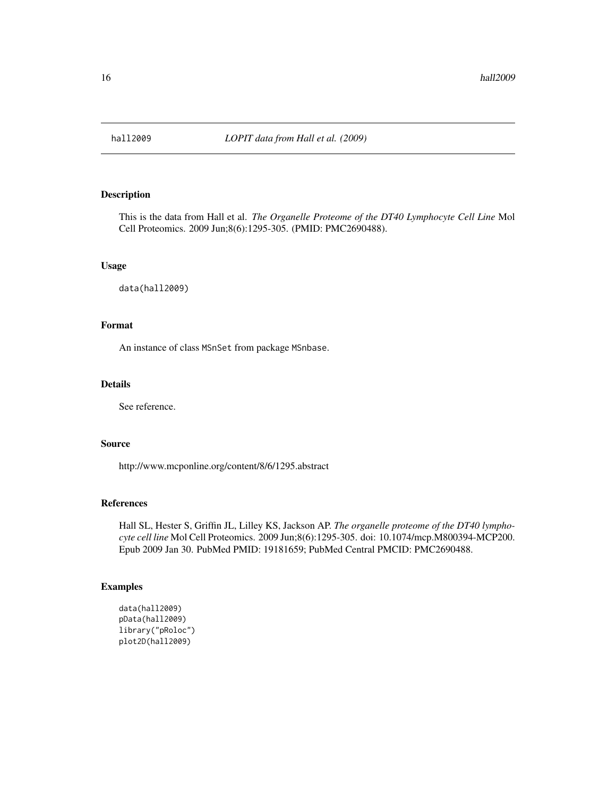<span id="page-15-0"></span>

# Description

This is the data from Hall et al. *The Organelle Proteome of the DT40 Lymphocyte Cell Line* Mol Cell Proteomics. 2009 Jun;8(6):1295-305. (PMID: PMC2690488).

# Usage

data(hall2009)

# Format

An instance of class MSnSet from package MSnbase.

# Details

See reference.

# Source

http://www.mcponline.org/content/8/6/1295.abstract

# References

Hall SL, Hester S, Griffin JL, Lilley KS, Jackson AP. *The organelle proteome of the DT40 lymphocyte cell line* Mol Cell Proteomics. 2009 Jun;8(6):1295-305. doi: 10.1074/mcp.M800394-MCP200. Epub 2009 Jan 30. PubMed PMID: 19181659; PubMed Central PMCID: PMC2690488.

```
data(hall2009)
pData(hall2009)
library("pRoloc")
plot2D(hall2009)
```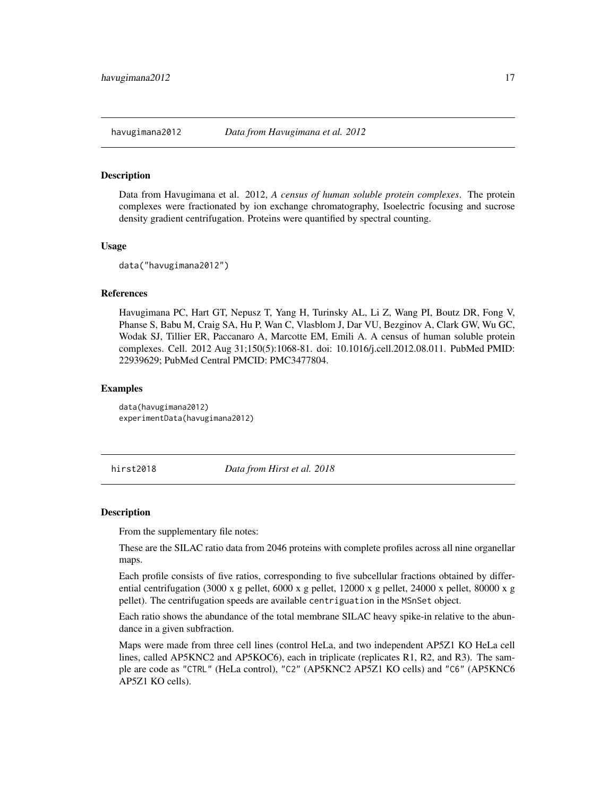<span id="page-16-0"></span>

#### Description

Data from Havugimana et al. 2012, *A census of human soluble protein complexes*. The protein complexes were fractionated by ion exchange chromatography, Isoelectric focusing and sucrose density gradient centrifugation. Proteins were quantified by spectral counting.

#### Usage

data("havugimana2012")

# References

Havugimana PC, Hart GT, Nepusz T, Yang H, Turinsky AL, Li Z, Wang PI, Boutz DR, Fong V, Phanse S, Babu M, Craig SA, Hu P, Wan C, Vlasblom J, Dar VU, Bezginov A, Clark GW, Wu GC, Wodak SJ, Tillier ER, Paccanaro A, Marcotte EM, Emili A. A census of human soluble protein complexes. Cell. 2012 Aug 31;150(5):1068-81. doi: 10.1016/j.cell.2012.08.011. PubMed PMID: 22939629; PubMed Central PMCID: PMC3477804.

# Examples

data(havugimana2012) experimentData(havugimana2012)

hirst2018 *Data from Hirst et al. 2018*

#### Description

From the supplementary file notes:

These are the SILAC ratio data from 2046 proteins with complete profiles across all nine organellar maps.

Each profile consists of five ratios, corresponding to five subcellular fractions obtained by differential centrifugation (3000 x g pellet, 6000 x g pellet, 12000 x g pellet, 24000 x pellet, 80000 x g pellet). The centrifugation speeds are available centriguation in the MSnSet object.

Each ratio shows the abundance of the total membrane SILAC heavy spike-in relative to the abundance in a given subfraction.

Maps were made from three cell lines (control HeLa, and two independent AP5Z1 KO HeLa cell lines, called AP5KNC2 and AP5KOC6), each in triplicate (replicates R1, R2, and R3). The sample are code as "CTRL" (HeLa control), "C2" (AP5KNC2 AP5Z1 KO cells) and "C6" (AP5KNC6 AP5Z1 KO cells).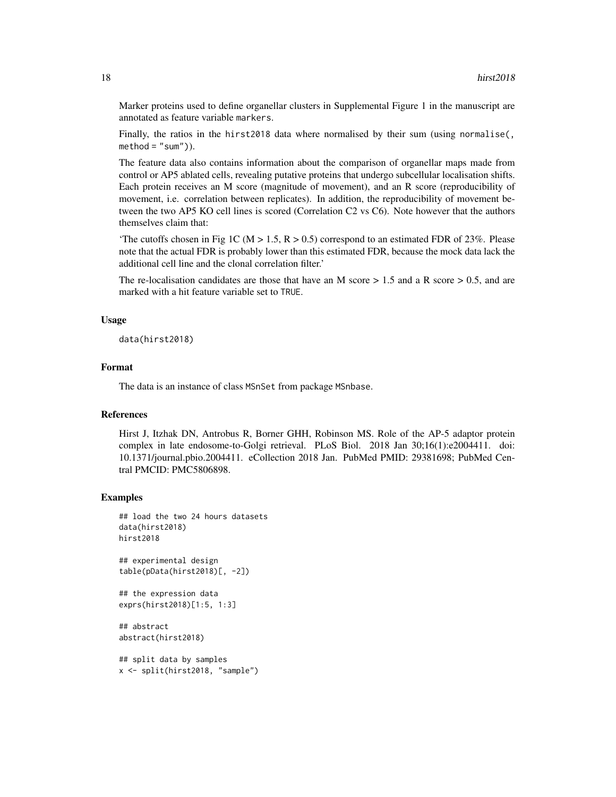Marker proteins used to define organellar clusters in Supplemental Figure 1 in the manuscript are annotated as feature variable markers.

Finally, the ratios in the hirst2018 data where normalised by their sum (using normalise(,  $method = "sum")$ .

The feature data also contains information about the comparison of organellar maps made from control or AP5 ablated cells, revealing putative proteins that undergo subcellular localisation shifts. Each protein receives an M score (magnitude of movement), and an R score (reproducibility of movement, i.e. correlation between replicates). In addition, the reproducibility of movement between the two AP5 KO cell lines is scored (Correlation C2 vs C6). Note however that the authors themselves claim that:

'The cutoffs chosen in Fig 1C ( $M > 1.5$ ,  $R > 0.5$ ) correspond to an estimated FDR of 23%. Please note that the actual FDR is probably lower than this estimated FDR, because the mock data lack the additional cell line and the clonal correlation filter.'

The re-localisation candidates are those that have an M score  $> 1.5$  and a R score  $> 0.5$ , and are marked with a hit feature variable set to TRUE.

#### Usage

data(hirst2018)

# Format

The data is an instance of class MSnSet from package MSnbase.

#### References

Hirst J, Itzhak DN, Antrobus R, Borner GHH, Robinson MS. Role of the AP-5 adaptor protein complex in late endosome-to-Golgi retrieval. PLoS Biol. 2018 Jan 30;16(1):e2004411. doi: 10.1371/journal.pbio.2004411. eCollection 2018 Jan. PubMed PMID: 29381698; PubMed Central PMCID: PMC5806898.

```
## load the two 24 hours datasets
data(hirst2018)
hirst2018
```

```
## experimental design
table(pData(hirst2018)[, -2])
```

```
## the expression data
exprs(hirst2018)[1:5, 1:3]
```

```
## abstract
abstract(hirst2018)
```

```
## split data by samples
x <- split(hirst2018, "sample")
```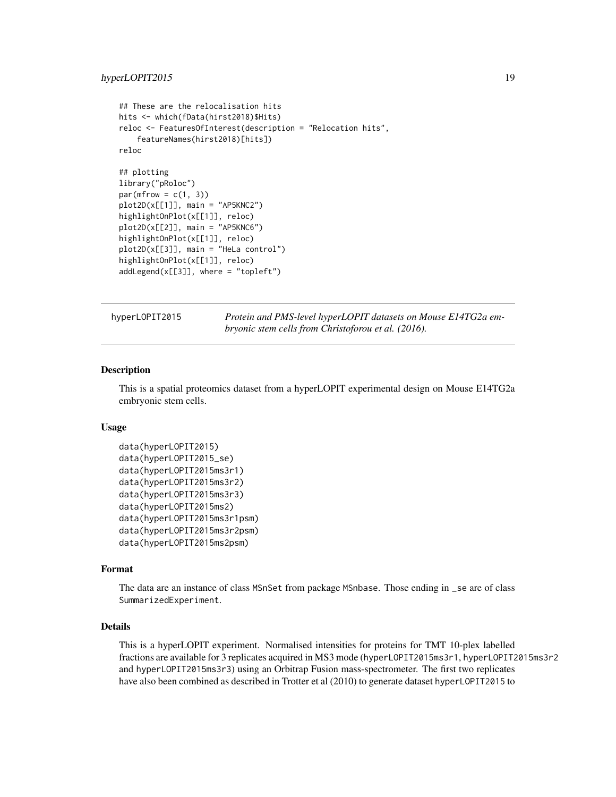```
## These are the relocalisation hits
hits <- which(fData(hirst2018)$Hits)
reloc <- FeaturesOfInterest(description = "Relocation hits",
    featureNames(hirst2018)[hits])
reloc
## plotting
library("pRoloc")
par(mfrow = c(1, 3))plot2D(x[[1]], main = "AP5KNC2")
highlightOnPlot(x[[1]], reloc)
plot2D(x[[2]], main = "AP5KNC6")
highlightOnPlot(x[[1]], reloc)
plot2D(x[[3]], main = "HeLa control")
highlightOnPlot(x[[1]], reloc)
addLegend(x[[3]], where = "topleft")
```
hyperLOPIT2015 *Protein and PMS-level hyperLOPIT datasets on Mouse E14TG2a embryonic stem cells from Christoforou et al. (2016).*

# **Description**

This is a spatial proteomics dataset from a hyperLOPIT experimental design on Mouse E14TG2a embryonic stem cells.

### Usage

```
data(hyperLOPIT2015)
data(hyperLOPIT2015_se)
data(hyperLOPIT2015ms3r1)
data(hyperLOPIT2015ms3r2)
data(hyperLOPIT2015ms3r3)
data(hyperLOPIT2015ms2)
data(hyperLOPIT2015ms3r1psm)
data(hyperLOPIT2015ms3r2psm)
data(hyperLOPIT2015ms2psm)
```
# Format

The data are an instance of class MSnSet from package MSnbase. Those ending in \_se are of class SummarizedExperiment.

#### Details

This is a hyperLOPIT experiment. Normalised intensities for proteins for TMT 10-plex labelled fractions are available for 3 replicates acquired in MS3 mode (hyperLOPIT2015ms3r1, hyperLOPIT2015ms3r2 and hyperLOPIT2015ms3r3) using an Orbitrap Fusion mass-spectrometer. The first two replicates have also been combined as described in Trotter et al (2010) to generate dataset hyperLOPIT2015 to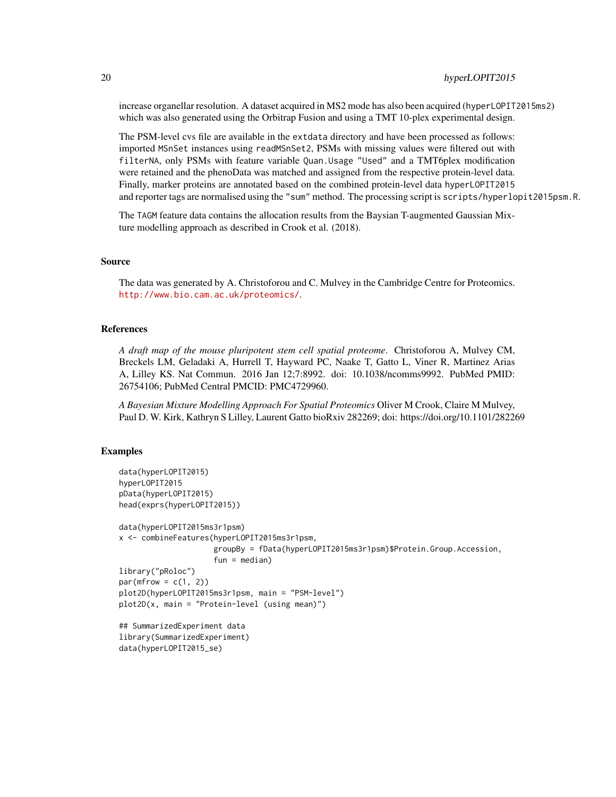increase organellar resolution. A dataset acquired in MS2 mode has also been acquired (hyperLOPIT2015ms2) which was also generated using the Orbitrap Fusion and using a TMT 10-plex experimental design.

The PSM-level cvs file are available in the extdata directory and have been processed as follows: imported MSnSet instances using readMSnSet2, PSMs with missing values were filtered out with filterNA, only PSMs with feature variable Quan.Usage "Used" and a TMT6plex modification were retained and the phenoData was matched and assigned from the respective protein-level data. Finally, marker proteins are annotated based on the combined protein-level data hyperLOPIT2015 and reporter tags are normalised using the "sum" method. The processing script is scripts/hyperlopit2015psm.R.

The TAGM feature data contains the allocation results from the Baysian T-augmented Gaussian Mixture modelling approach as described in Crook et al. (2018).

# Source

The data was generated by A. Christoforou and C. Mulvey in the Cambridge Centre for Proteomics. <http://www.bio.cam.ac.uk/proteomics/>.

#### References

*A draft map of the mouse pluripotent stem cell spatial proteome*. Christoforou A, Mulvey CM, Breckels LM, Geladaki A, Hurrell T, Hayward PC, Naake T, Gatto L, Viner R, Martinez Arias A, Lilley KS. Nat Commun. 2016 Jan 12;7:8992. doi: 10.1038/ncomms9992. PubMed PMID: 26754106; PubMed Central PMCID: PMC4729960.

*A Bayesian Mixture Modelling Approach For Spatial Proteomics* Oliver M Crook, Claire M Mulvey, Paul D. W. Kirk, Kathryn S Lilley, Laurent Gatto bioRxiv 282269; doi: https://doi.org/10.1101/282269

```
data(hyperLOPIT2015)
hyperLOPIT2015
pData(hyperLOPIT2015)
head(exprs(hyperLOPIT2015))
data(hyperLOPIT2015ms3r1psm)
x <- combineFeatures(hyperLOPIT2015ms3r1psm,
                     groupBy = fData(hyperLOPIT2015ms3r1psm)$Protein.Group.Accession,
                     fun = median)library("pRoloc")
par(mfrow = c(1, 2))plot2D(hyperLOPIT2015ms3r1psm, main = "PSM-level")
plot2D(x, main = "Protein-level (using mean)")
## SummarizedExperiment data
library(SummarizedExperiment)
data(hyperLOPIT2015_se)
```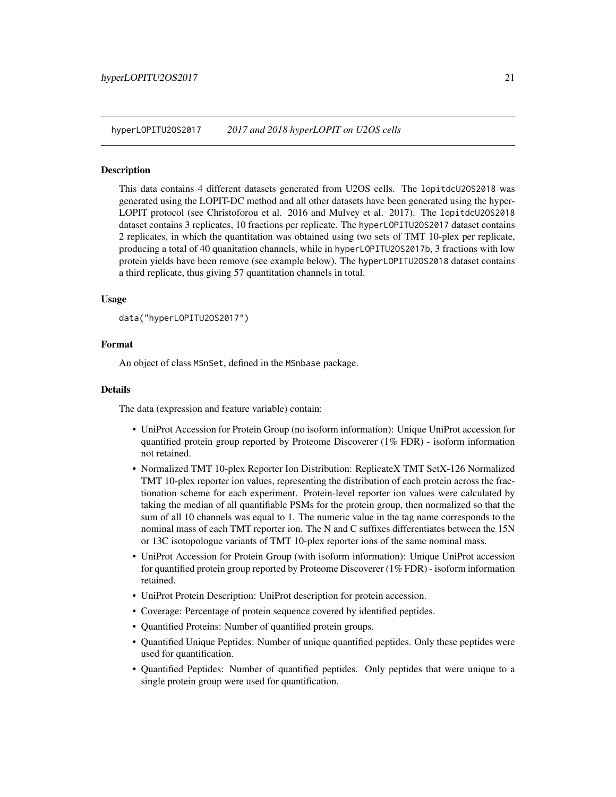<span id="page-20-0"></span>hyperLOPITU2OS2017 *2017 and 2018 hyperLOPIT on U2OS cells*

#### Description

This data contains 4 different datasets generated from U2OS cells. The lopitdcU2OS2018 was generated using the LOPIT-DC method and all other datasets have been generated using the hyper-LOPIT protocol (see Christoforou et al. 2016 and Mulvey et al. 2017). The lopitdcU2OS2018 dataset contains 3 replicates, 10 fractions per replicate. The hyperLOPITU2OS2017 dataset contains 2 replicates, in which the quantitation was obtained using two sets of TMT 10-plex per replicate, producing a total of 40 quanitation channels, while in hyperLOPITU2OS2017b, 3 fractions with low protein yields have been remove (see example below). The hyperLOPITU2OS2018 dataset contains a third replicate, thus giving 57 quantitation channels in total.

#### Usage

```
data("hyperLOPITU2OS2017")
```
#### Format

An object of class MSnSet, defined in the MSnbase package.

#### Details

The data (expression and feature variable) contain:

- UniProt Accession for Protein Group (no isoform information): Unique UniProt accession for quantified protein group reported by Proteome Discoverer (1% FDR) - isoform information not retained.
- Normalized TMT 10-plex Reporter Ion Distribution: ReplicateX TMT SetX-126 Normalized TMT 10-plex reporter ion values, representing the distribution of each protein across the fractionation scheme for each experiment. Protein-level reporter ion values were calculated by taking the median of all quantifiable PSMs for the protein group, then normalized so that the sum of all 10 channels was equal to 1. The numeric value in the tag name corresponds to the nominal mass of each TMT reporter ion. The N and C suffixes differentiates between the 15N or 13C isotopologue variants of TMT 10-plex reporter ions of the same nominal mass.
- UniProt Accession for Protein Group (with isoform information): Unique UniProt accession for quantified protein group reported by Proteome Discoverer (1% FDR) - isoform information retained.
- UniProt Protein Description: UniProt description for protein accession.
- Coverage: Percentage of protein sequence covered by identified peptides.
- Quantified Proteins: Number of quantified protein groups.
- Quantified Unique Peptides: Number of unique quantified peptides. Only these peptides were used for quantification.
- Quantified Peptides: Number of quantified peptides. Only peptides that were unique to a single protein group were used for quantification.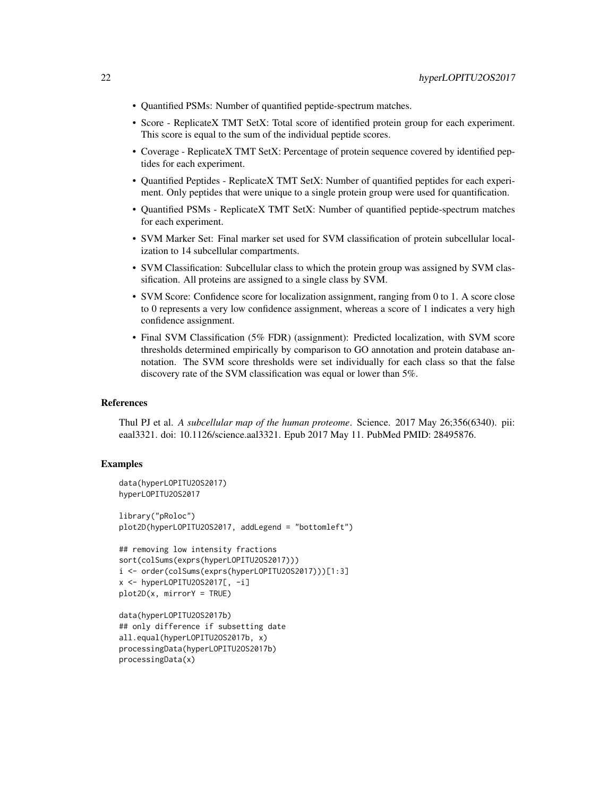- Quantified PSMs: Number of quantified peptide-spectrum matches.
- Score ReplicateX TMT SetX: Total score of identified protein group for each experiment. This score is equal to the sum of the individual peptide scores.
- Coverage ReplicateX TMT SetX: Percentage of protein sequence covered by identified peptides for each experiment.
- Quantified Peptides ReplicateX TMT SetX: Number of quantified peptides for each experiment. Only peptides that were unique to a single protein group were used for quantification.
- Quantified PSMs ReplicateX TMT SetX: Number of quantified peptide-spectrum matches for each experiment.
- SVM Marker Set: Final marker set used for SVM classification of protein subcellular localization to 14 subcellular compartments.
- SVM Classification: Subcellular class to which the protein group was assigned by SVM classification. All proteins are assigned to a single class by SVM.
- SVM Score: Confidence score for localization assignment, ranging from 0 to 1. A score close to 0 represents a very low confidence assignment, whereas a score of 1 indicates a very high confidence assignment.
- Final SVM Classification (5% FDR) (assignment): Predicted localization, with SVM score thresholds determined empirically by comparison to GO annotation and protein database annotation. The SVM score thresholds were set individually for each class so that the false discovery rate of the SVM classification was equal or lower than 5%.

#### References

Thul PJ et al. *A subcellular map of the human proteome*. Science. 2017 May 26;356(6340). pii: eaal3321. doi: 10.1126/science.aal3321. Epub 2017 May 11. PubMed PMID: 28495876.

```
data(hyperLOPITU2OS2017)
hyperLOPITU2OS2017
library("pRoloc")
plot2D(hyperLOPITU2OS2017, addLegend = "bottomleft")
## removing low intensity fractions
```

```
sort(colSums(exprs(hyperLOPITU2OS2017)))
i <- order(colSums(exprs(hyperLOPITU2OS2017)))[1:3]
x <- hyperLOPITU2OS2017[, -i]
plot2D(x, mirrorY = TRUE)
```

```
data(hyperLOPITU2OS2017b)
## only difference if subsetting date
all.equal(hyperLOPITU2OS2017b, x)
processingData(hyperLOPITU2OS2017b)
processingData(x)
```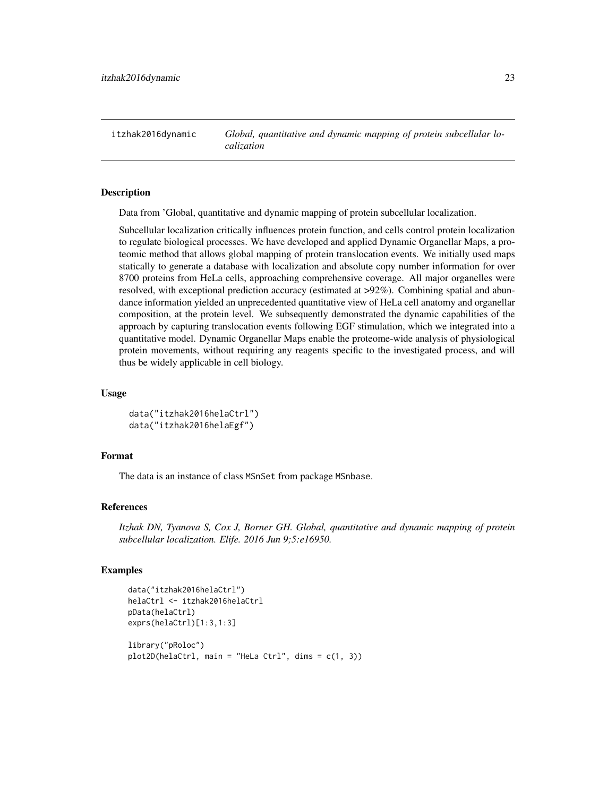<span id="page-22-0"></span>itzhak2016dynamic *Global, quantitative and dynamic mapping of protein subcellular localization*

# Description

Data from 'Global, quantitative and dynamic mapping of protein subcellular localization.

Subcellular localization critically influences protein function, and cells control protein localization to regulate biological processes. We have developed and applied Dynamic Organellar Maps, a proteomic method that allows global mapping of protein translocation events. We initially used maps statically to generate a database with localization and absolute copy number information for over 8700 proteins from HeLa cells, approaching comprehensive coverage. All major organelles were resolved, with exceptional prediction accuracy (estimated at >92%). Combining spatial and abundance information yielded an unprecedented quantitative view of HeLa cell anatomy and organellar composition, at the protein level. We subsequently demonstrated the dynamic capabilities of the approach by capturing translocation events following EGF stimulation, which we integrated into a quantitative model. Dynamic Organellar Maps enable the proteome-wide analysis of physiological protein movements, without requiring any reagents specific to the investigated process, and will thus be widely applicable in cell biology.

# Usage

```
data("itzhak2016helaCtrl")
data("itzhak2016helaEgf")
```
#### Format

The data is an instance of class MSnSet from package MSnbase.

#### References

*Itzhak DN, Tyanova S, Cox J, Borner GH. Global, quantitative and dynamic mapping of protein subcellular localization. Elife. 2016 Jun 9;5:e16950.*

```
data("itzhak2016helaCtrl")
helaCtrl <- itzhak2016helaCtrl
pData(helaCtrl)
exprs(helaCtrl)[1:3,1:3]
library("pRoloc")
plot2D(helaCtrl, main = "Hello Ctrl", dims = c(1, 3))
```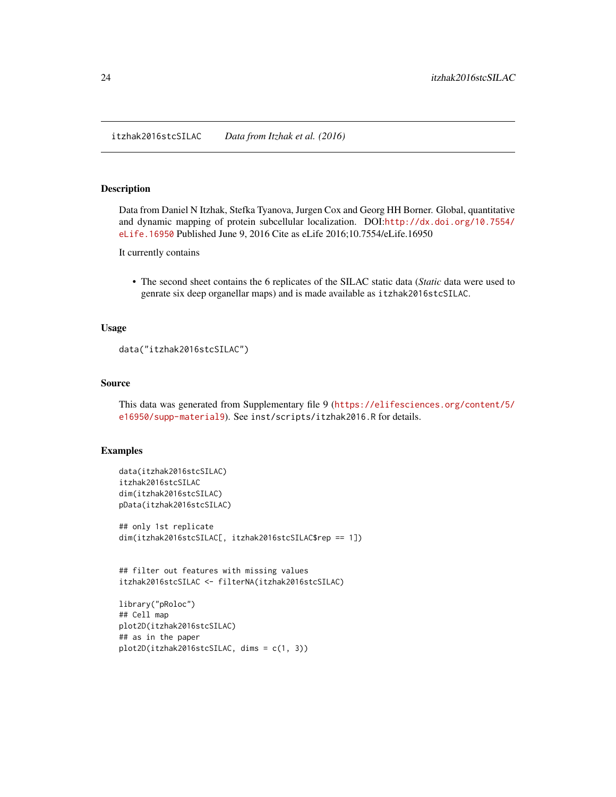<span id="page-23-0"></span>itzhak2016stcSILAC *Data from Itzhak et al. (2016)*

#### <span id="page-23-1"></span>Description

Data from Daniel N Itzhak, Stefka Tyanova, Jurgen Cox and Georg HH Borner. Global, quantitative and dynamic mapping of protein subcellular localization. DOI:[http://dx.doi.org/10.7554/](http://dx.doi.org/10.7554/eLife.16950) [eLife.16950](http://dx.doi.org/10.7554/eLife.16950) Published June 9, 2016 Cite as eLife 2016;10.7554/eLife.16950

It currently contains

• The second sheet contains the 6 replicates of the SILAC static data (*Static* data were used to genrate six deep organellar maps) and is made available as itzhak2016stcSILAC.

# Usage

```
data("itzhak2016stcSILAC")
```
# Source

This data was generated from Supplementary file 9 ([https://elifesciences.org/content/5/](https://elifesciences.org/content/5/e16950/supp-material9) [e16950/supp-material9](https://elifesciences.org/content/5/e16950/supp-material9)). See inst/scripts/itzhak2016.R for details.

#### Examples

```
data(itzhak2016stcSILAC)
itzhak2016stcSILAC
dim(itzhak2016stcSILAC)
pData(itzhak2016stcSILAC)
```

```
## only 1st replicate
dim(itzhak2016stcSILAC[, itzhak2016stcSILAC$rep == 1])
```
## filter out features with missing values itzhak2016stcSILAC <- filterNA(itzhak2016stcSILAC)

```
library("pRoloc")
## Cell map
plot2D(itzhak2016stcSILAC)
## as in the paper
plot2D(itzhak2016stcSILAC, dims = c(1, 3))
```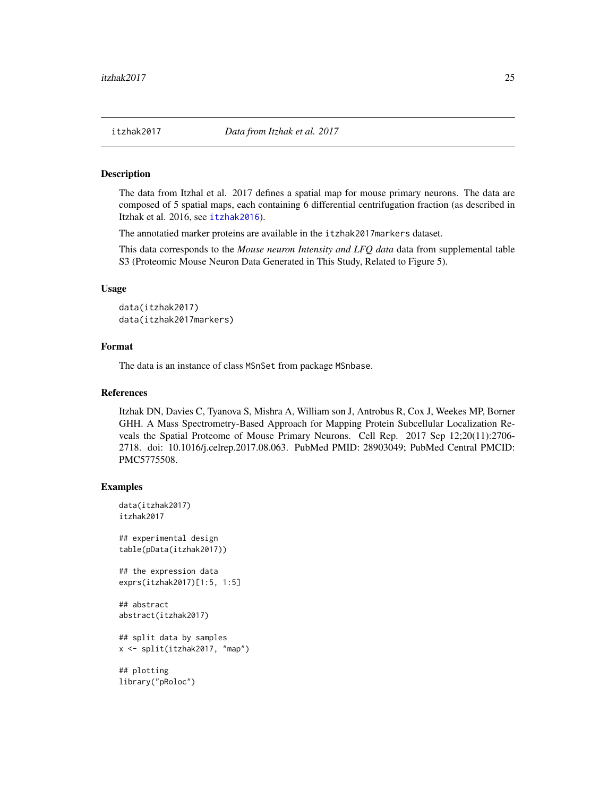<span id="page-24-0"></span>

#### Description

The data from Itzhal et al. 2017 defines a spatial map for mouse primary neurons. The data are composed of 5 spatial maps, each containing 6 differential centrifugation fraction (as described in Itzhak et al. 2016, see [itzhak2016](#page-23-1)).

The annotatied marker proteins are available in the itzhak2017markers dataset.

This data corresponds to the *Mouse neuron Intensity and LFQ data* data from supplemental table S3 (Proteomic Mouse Neuron Data Generated in This Study, Related to Figure 5).

#### Usage

```
data(itzhak2017)
data(itzhak2017markers)
```
#### Format

The data is an instance of class MSnSet from package MSnbase.

#### References

Itzhak DN, Davies C, Tyanova S, Mishra A, William son J, Antrobus R, Cox J, Weekes MP, Borner GHH. A Mass Spectrometry-Based Approach for Mapping Protein Subcellular Localization Reveals the Spatial Proteome of Mouse Primary Neurons. Cell Rep. 2017 Sep 12;20(11):2706- 2718. doi: 10.1016/j.celrep.2017.08.063. PubMed PMID: 28903049; PubMed Central PMCID: PMC5775508.

# Examples

```
data(itzhak2017)
itzhak2017
```
## experimental design table(pData(itzhak2017))

```
## the expression data
exprs(itzhak2017)[1:5, 1:5]
```
## abstract abstract(itzhak2017)

```
## split data by samples
x <- split(itzhak2017, "map")
```
## plotting library("pRoloc")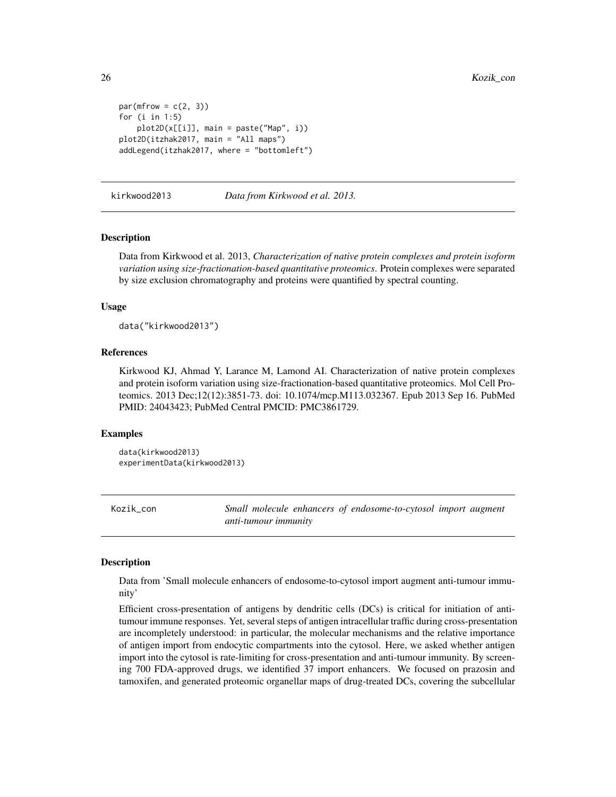```
par(mfrow = c(2, 3))for (i in 1:5)
   plot2D(x[[i]], main = paste("Map", i))
plot2D(itzhak2017, main = "All maps")
addLegend(itzhak2017, where = "bottomleft")
```
kirkwood2013 *Data from Kirkwood et al. 2013.*

# **Description**

Data from Kirkwood et al. 2013, *Characterization of native protein complexes and protein isoform variation using size-fractionation-based quantitative proteomics*. Protein complexes were separated by size exclusion chromatography and proteins were quantified by spectral counting.

#### Usage

data("kirkwood2013")

#### References

Kirkwood KJ, Ahmad Y, Larance M, Lamond AI. Characterization of native protein complexes and protein isoform variation using size-fractionation-based quantitative proteomics. Mol Cell Proteomics. 2013 Dec;12(12):3851-73. doi: 10.1074/mcp.M113.032367. Epub 2013 Sep 16. PubMed PMID: 24043423; PubMed Central PMCID: PMC3861729.

#### Examples

```
data(kirkwood2013)
experimentData(kirkwood2013)
```
Kozik\_con *Small molecule enhancers of endosome-to-cytosol import augment anti-tumour immunity*

#### Description

Data from 'Small molecule enhancers of endosome-to-cytosol import augment anti-tumour immunity'

Efficient cross-presentation of antigens by dendritic cells (DCs) is critical for initiation of antitumour immune responses. Yet, several steps of antigen intracellular traffic during cross-presentation are incompletely understood: in particular, the molecular mechanisms and the relative importance of antigen import from endocytic compartments into the cytosol. Here, we asked whether antigen import into the cytosol is rate-limiting for cross-presentation and anti-tumour immunity. By screening 700 FDA-approved drugs, we identified 37 import enhancers. We focused on prazosin and tamoxifen, and generated proteomic organellar maps of drug-treated DCs, covering the subcellular

<span id="page-25-0"></span>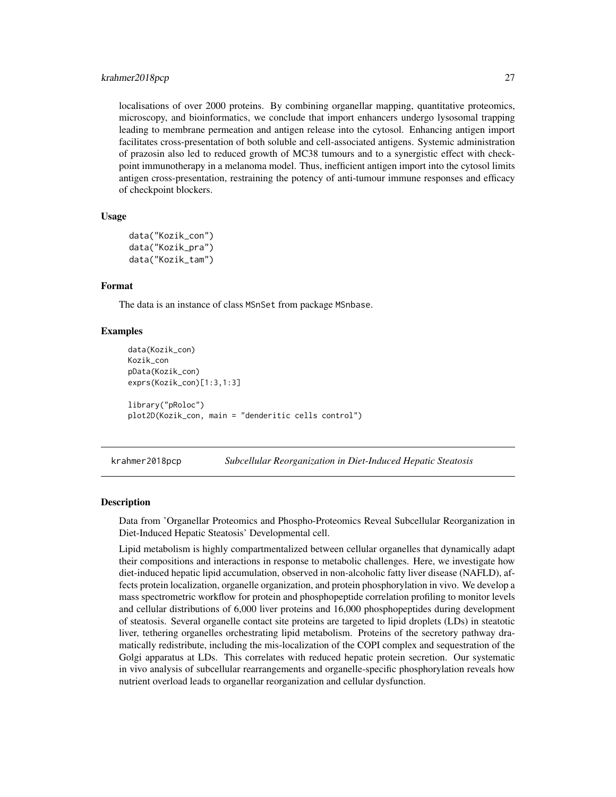#### <span id="page-26-0"></span>krahmer2018pcp 27

localisations of over 2000 proteins. By combining organellar mapping, quantitative proteomics, microscopy, and bioinformatics, we conclude that import enhancers undergo lysosomal trapping leading to membrane permeation and antigen release into the cytosol. Enhancing antigen import facilitates cross-presentation of both soluble and cell-associated antigens. Systemic administration of prazosin also led to reduced growth of MC38 tumours and to a synergistic effect with checkpoint immunotherapy in a melanoma model. Thus, inefficient antigen import into the cytosol limits antigen cross-presentation, restraining the potency of anti-tumour immune responses and efficacy of checkpoint blockers.

# Usage

```
data("Kozik_con")
data("Kozik_pra")
data("Kozik_tam")
```
# Format

The data is an instance of class MSnSet from package MSnbase.

# Examples

```
data(Kozik_con)
Kozik_con
pData(Kozik_con)
exprs(Kozik_con)[1:3,1:3]
library("pRoloc")
plot2D(Kozik_con, main = "denderitic cells control")
```
krahmer2018pcp *Subcellular Reorganization in Diet-Induced Hepatic Steatosis*

### **Description**

Data from 'Organellar Proteomics and Phospho-Proteomics Reveal Subcellular Reorganization in Diet-Induced Hepatic Steatosis' Developmental cell.

Lipid metabolism is highly compartmentalized between cellular organelles that dynamically adapt their compositions and interactions in response to metabolic challenges. Here, we investigate how diet-induced hepatic lipid accumulation, observed in non-alcoholic fatty liver disease (NAFLD), affects protein localization, organelle organization, and protein phosphorylation in vivo. We develop a mass spectrometric workflow for protein and phosphopeptide correlation profiling to monitor levels and cellular distributions of 6,000 liver proteins and 16,000 phosphopeptides during development of steatosis. Several organelle contact site proteins are targeted to lipid droplets (LDs) in steatotic liver, tethering organelles orchestrating lipid metabolism. Proteins of the secretory pathway dramatically redistribute, including the mis-localization of the COPI complex and sequestration of the Golgi apparatus at LDs. This correlates with reduced hepatic protein secretion. Our systematic in vivo analysis of subcellular rearrangements and organelle-specific phosphorylation reveals how nutrient overload leads to organellar reorganization and cellular dysfunction.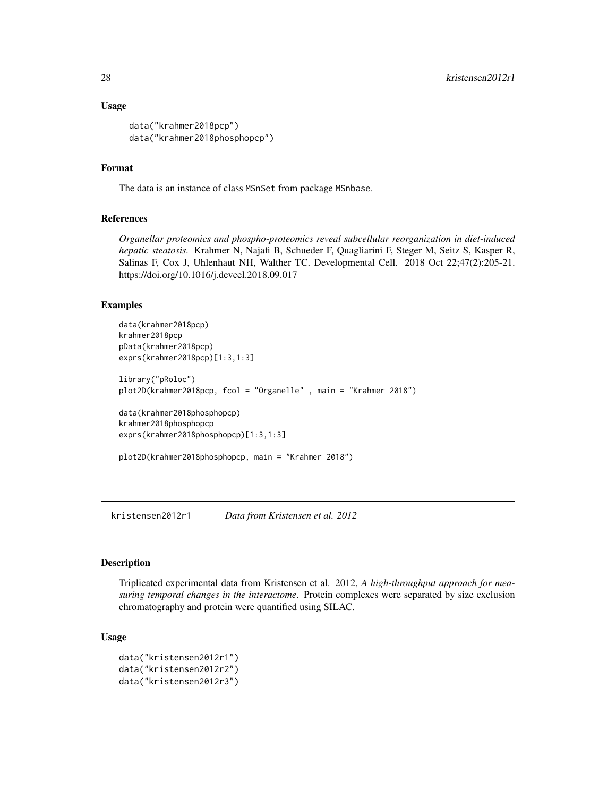#### <span id="page-27-0"></span>Usage

```
data("krahmer2018pcp")
data("krahmer2018phosphopcp")
```
# Format

The data is an instance of class MSnSet from package MSnbase.

# References

*Organellar proteomics and phospho-proteomics reveal subcellular reorganization in diet-induced hepatic steatosis.* Krahmer N, Najafi B, Schueder F, Quagliarini F, Steger M, Seitz S, Kasper R, Salinas F, Cox J, Uhlenhaut NH, Walther TC. Developmental Cell. 2018 Oct 22;47(2):205-21. https://doi.org/10.1016/j.devcel.2018.09.017

# Examples

```
data(krahmer2018pcp)
krahmer2018pcp
pData(krahmer2018pcp)
exprs(krahmer2018pcp)[1:3,1:3]
library("pRoloc")
plot2D(krahmer2018pcp, fcol = "Organelle" , main = "Krahmer 2018")
data(krahmer2018phosphopcp)
krahmer2018phosphopcp
exprs(krahmer2018phosphopcp)[1:3,1:3]
plot2D(krahmer2018phosphopcp, main = "Krahmer 2018")
```
kristensen2012r1 *Data from Kristensen et al. 2012*

#### Description

Triplicated experimental data from Kristensen et al. 2012, *A high-throughput approach for measuring temporal changes in the interactome*. Protein complexes were separated by size exclusion chromatography and protein were quantified using SILAC.

#### Usage

```
data("kristensen2012r1")
data("kristensen2012r2")
data("kristensen2012r3")
```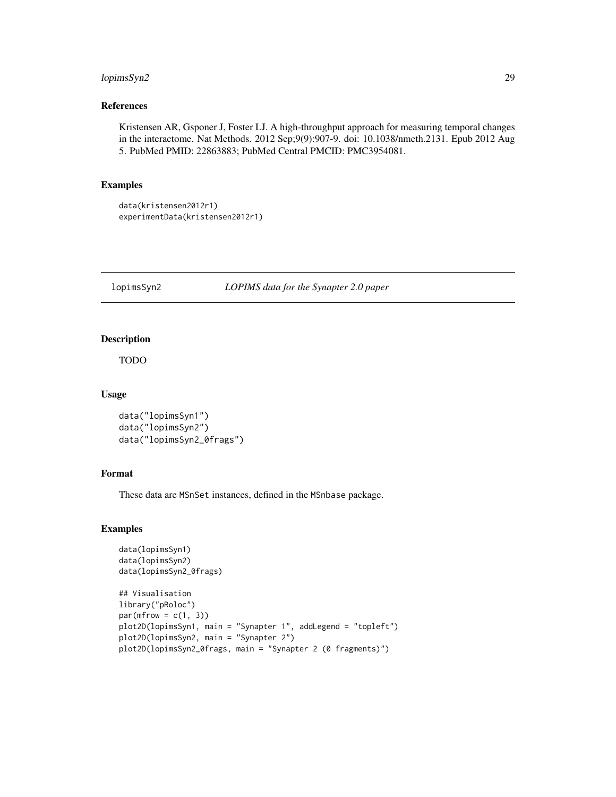# <span id="page-28-0"></span>lopimsSyn2 29

# References

Kristensen AR, Gsponer J, Foster LJ. A high-throughput approach for measuring temporal changes in the interactome. Nat Methods. 2012 Sep;9(9):907-9. doi: 10.1038/nmeth.2131. Epub 2012 Aug 5. PubMed PMID: 22863883; PubMed Central PMCID: PMC3954081.

# Examples

```
data(kristensen2012r1)
experimentData(kristensen2012r1)
```
lopimsSyn2 *LOPIMS data for the Synapter 2.0 paper*

#### Description

TODO

# Usage

```
data("lopimsSyn1")
data("lopimsSyn2")
data("lopimsSyn2_0frags")
```
# Format

These data are MSnSet instances, defined in the MSnbase package.

```
data(lopimsSyn1)
data(lopimsSyn2)
data(lopimsSyn2_0frags)
```

```
## Visualisation
library("pRoloc")
par(mfrow = c(1, 3))plot2D(lopimsSyn1, main = "Synapter 1", addLegend = "topleft")
plot2D(lopimsSyn2, main = "Synapter 2")
plot2D(lopimsSyn2_0frags, main = "Synapter 2 (0 fragments)")
```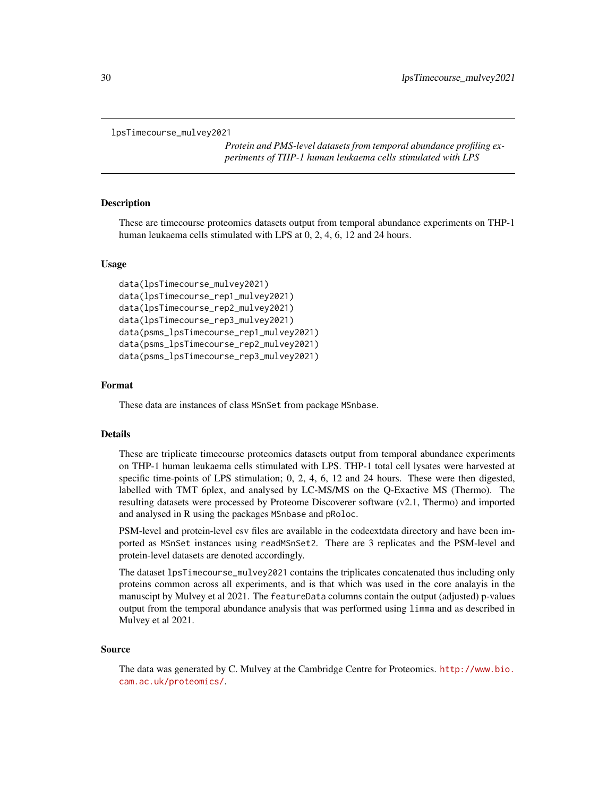```
lpsTimecourse_mulvey2021
```
*Protein and PMS-level datasets from temporal abundance profiling experiments of THP-1 human leukaema cells stimulated with LPS*

# Description

These are timecourse proteomics datasets output from temporal abundance experiments on THP-1 human leukaema cells stimulated with LPS at 0, 2, 4, 6, 12 and 24 hours.

# Usage

```
data(lpsTimecourse_mulvey2021)
data(lpsTimecourse_rep1_mulvey2021)
data(lpsTimecourse_rep2_mulvey2021)
data(lpsTimecourse_rep3_mulvey2021)
data(psms_lpsTimecourse_rep1_mulvey2021)
data(psms_lpsTimecourse_rep2_mulvey2021)
data(psms_lpsTimecourse_rep3_mulvey2021)
```
#### Format

These data are instances of class MSnSet from package MSnbase.

#### Details

These are triplicate timecourse proteomics datasets output from temporal abundance experiments on THP-1 human leukaema cells stimulated with LPS. THP-1 total cell lysates were harvested at specific time-points of LPS stimulation; 0, 2, 4, 6, 12 and 24 hours. These were then digested, labelled with TMT 6plex, and analysed by LC-MS/MS on the Q-Exactive MS (Thermo). The resulting datasets were processed by Proteome Discoverer software (v2.1, Thermo) and imported and analysed in R using the packages MSnbase and pRoloc.

PSM-level and protein-level csv files are available in the codeextdata directory and have been imported as MSnSet instances using readMSnSet2. There are 3 replicates and the PSM-level and protein-level datasets are denoted accordingly.

The dataset lpsTimecourse\_mulvey2021 contains the triplicates concatenated thus including only proteins common across all experiments, and is that which was used in the core analayis in the manuscipt by Mulvey et al 2021. The featureData columns contain the output (adjusted) p-values output from the temporal abundance analysis that was performed using limma and as described in Mulvey et al 2021.

#### Source

The data was generated by C. Mulvey at the Cambridge Centre for Proteomics. [http://www.bio.](http://www.bio.cam.ac.uk/proteomics/) [cam.ac.uk/proteomics/](http://www.bio.cam.ac.uk/proteomics/).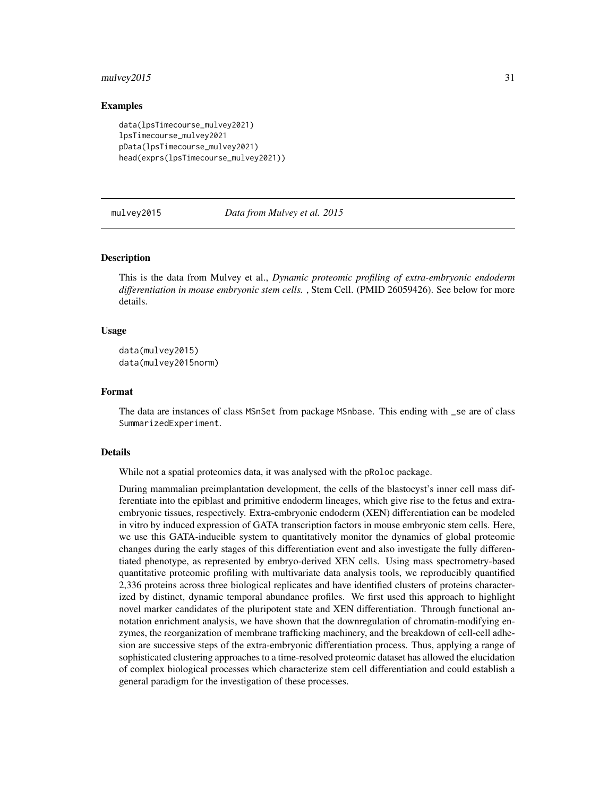#### <span id="page-30-0"></span>mulvey2015 31

# Examples

```
data(lpsTimecourse_mulvey2021)
lpsTimecourse_mulvey2021
pData(lpsTimecourse_mulvey2021)
head(exprs(lpsTimecourse_mulvey2021))
```
mulvey2015 *Data from Mulvey et al. 2015*

# **Description**

This is the data from Mulvey et al., *Dynamic proteomic profiling of extra-embryonic endoderm differentiation in mouse embryonic stem cells.* , Stem Cell. (PMID 26059426). See below for more details.

# Usage

```
data(mulvey2015)
data(mulvey2015norm)
```
#### Format

The data are instances of class MSnSet from package MSnbase. This ending with \_se are of class SummarizedExperiment.

#### Details

While not a spatial proteomics data, it was analysed with the pRoloc package.

During mammalian preimplantation development, the cells of the blastocyst's inner cell mass differentiate into the epiblast and primitive endoderm lineages, which give rise to the fetus and extraembryonic tissues, respectively. Extra-embryonic endoderm (XEN) differentiation can be modeled in vitro by induced expression of GATA transcription factors in mouse embryonic stem cells. Here, we use this GATA-inducible system to quantitatively monitor the dynamics of global proteomic changes during the early stages of this differentiation event and also investigate the fully differentiated phenotype, as represented by embryo-derived XEN cells. Using mass spectrometry-based quantitative proteomic profiling with multivariate data analysis tools, we reproducibly quantified 2,336 proteins across three biological replicates and have identified clusters of proteins characterized by distinct, dynamic temporal abundance profiles. We first used this approach to highlight novel marker candidates of the pluripotent state and XEN differentiation. Through functional annotation enrichment analysis, we have shown that the downregulation of chromatin-modifying enzymes, the reorganization of membrane trafficking machinery, and the breakdown of cell-cell adhesion are successive steps of the extra-embryonic differentiation process. Thus, applying a range of sophisticated clustering approaches to a time-resolved proteomic dataset has allowed the elucidation of complex biological processes which characterize stem cell differentiation and could establish a general paradigm for the investigation of these processes.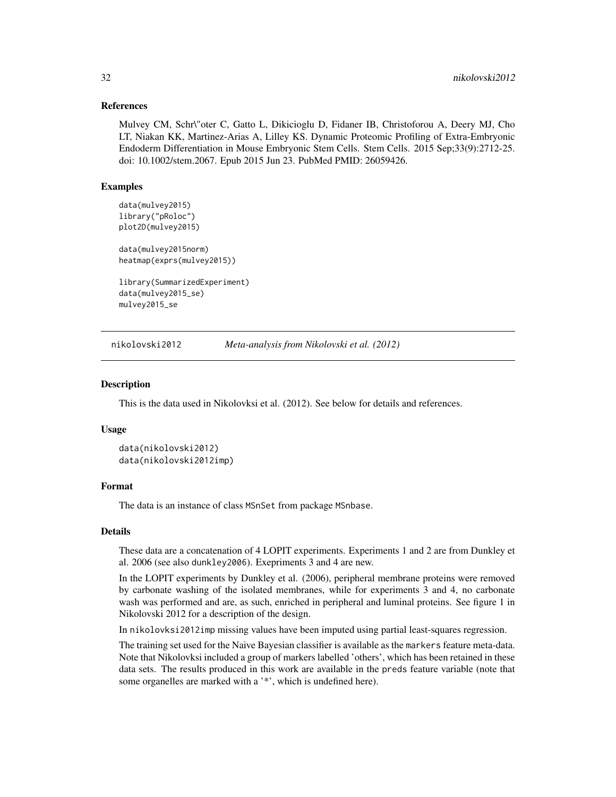# <span id="page-31-0"></span>References

Mulvey CM, Schr\"oter C, Gatto L, Dikicioglu D, Fidaner IB, Christoforou A, Deery MJ, Cho LT, Niakan KK, Martinez-Arias A, Lilley KS. Dynamic Proteomic Profiling of Extra-Embryonic Endoderm Differentiation in Mouse Embryonic Stem Cells. Stem Cells. 2015 Sep;33(9):2712-25. doi: 10.1002/stem.2067. Epub 2015 Jun 23. PubMed PMID: 26059426.

# Examples

```
data(mulvey2015)
library("pRoloc")
plot2D(mulvey2015)
data(mulvey2015norm)
heatmap(exprs(mulvey2015))
library(SummarizedExperiment)
```
data(mulvey2015\_se) mulvey2015\_se

nikolovski2012 *Meta-analysis from Nikolovski et al. (2012)*

#### Description

This is the data used in Nikolovksi et al. (2012). See below for details and references.

#### Usage

```
data(nikolovski2012)
data(nikolovski2012imp)
```
# Format

The data is an instance of class MSnSet from package MSnbase.

# Details

These data are a concatenation of 4 LOPIT experiments. Experiments 1 and 2 are from Dunkley et al. 2006 (see also dunkley2006). Exepriments 3 and 4 are new.

In the LOPIT experiments by Dunkley et al. (2006), peripheral membrane proteins were removed by carbonate washing of the isolated membranes, while for experiments 3 and 4, no carbonate wash was performed and are, as such, enriched in peripheral and luminal proteins. See figure 1 in Nikolovski 2012 for a description of the design.

In nikolovksi2012imp missing values have been imputed using partial least-squares regression.

The training set used for the Naive Bayesian classifier is available as the markers feature meta-data. Note that Nikolovksi included a group of markers labelled 'others', which has been retained in these data sets. The results produced in this work are available in the preds feature variable (note that some organelles are marked with a '\*', which is undefined here).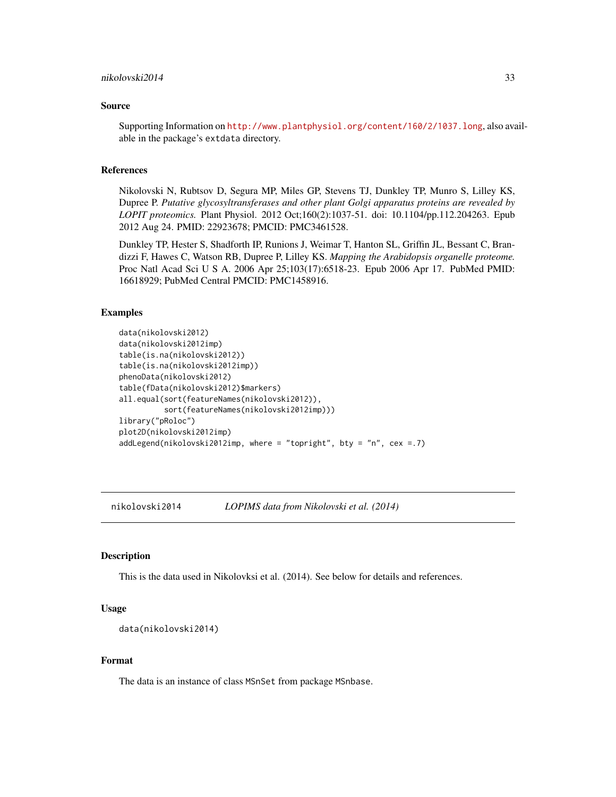#### <span id="page-32-0"></span>Source

Supporting Information on <http://www.plantphysiol.org/content/160/2/1037.long>, also available in the package's extdata directory.

# References

Nikolovski N, Rubtsov D, Segura MP, Miles GP, Stevens TJ, Dunkley TP, Munro S, Lilley KS, Dupree P. *Putative glycosyltransferases and other plant Golgi apparatus proteins are revealed by LOPIT proteomics.* Plant Physiol. 2012 Oct;160(2):1037-51. doi: 10.1104/pp.112.204263. Epub 2012 Aug 24. PMID: 22923678; PMCID: PMC3461528.

Dunkley TP, Hester S, Shadforth IP, Runions J, Weimar T, Hanton SL, Griffin JL, Bessant C, Brandizzi F, Hawes C, Watson RB, Dupree P, Lilley KS. *Mapping the Arabidopsis organelle proteome.* Proc Natl Acad Sci U S A. 2006 Apr 25;103(17):6518-23. Epub 2006 Apr 17. PubMed PMID: 16618929; PubMed Central PMCID: PMC1458916.

#### Examples

```
data(nikolovski2012)
data(nikolovski2012imp)
table(is.na(nikolovski2012))
table(is.na(nikolovski2012imp))
phenoData(nikolovski2012)
table(fData(nikolovski2012)$markers)
all.equal(sort(featureNames(nikolovski2012)),
          sort(featureNames(nikolovski2012imp)))
library("pRoloc")
plot2D(nikolovski2012imp)
addLegend(nikolovski2012imp, where = "topright", bty = "n", cex =.7)
```
nikolovski2014 *LOPIMS data from Nikolovski et al. (2014)*

#### Description

This is the data used in Nikolovksi et al. (2014). See below for details and references.

#### Usage

```
data(nikolovski2014)
```
#### Format

The data is an instance of class MSnSet from package MSnbase.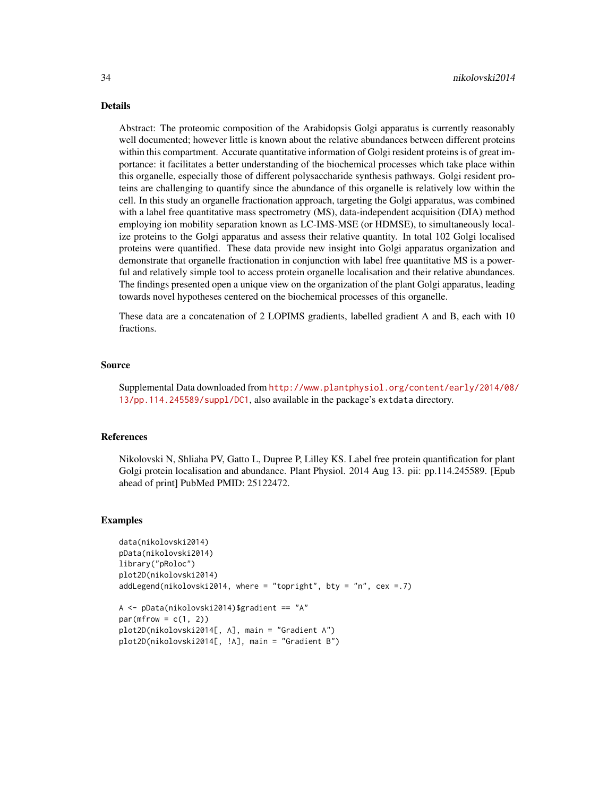#### Details

Abstract: The proteomic composition of the Arabidopsis Golgi apparatus is currently reasonably well documented; however little is known about the relative abundances between different proteins within this compartment. Accurate quantitative information of Golgi resident proteins is of great importance: it facilitates a better understanding of the biochemical processes which take place within this organelle, especially those of different polysaccharide synthesis pathways. Golgi resident proteins are challenging to quantify since the abundance of this organelle is relatively low within the cell. In this study an organelle fractionation approach, targeting the Golgi apparatus, was combined with a label free quantitative mass spectrometry (MS), data-independent acquisition (DIA) method employing ion mobility separation known as LC-IMS-MSE (or HDMSE), to simultaneously localize proteins to the Golgi apparatus and assess their relative quantity. In total 102 Golgi localised proteins were quantified. These data provide new insight into Golgi apparatus organization and demonstrate that organelle fractionation in conjunction with label free quantitative MS is a powerful and relatively simple tool to access protein organelle localisation and their relative abundances. The findings presented open a unique view on the organization of the plant Golgi apparatus, leading towards novel hypotheses centered on the biochemical processes of this organelle.

These data are a concatenation of 2 LOPIMS gradients, labelled gradient A and B, each with 10 fractions.

# Source

Supplemental Data downloaded from [http://www.plantphysiol.org/content/early/2014/08/](http://www.plantphysiol.org/content/early/2014/08/13/pp.114.245589/suppl/DC1) [13/pp.114.245589/suppl/DC1](http://www.plantphysiol.org/content/early/2014/08/13/pp.114.245589/suppl/DC1), also available in the package's extdata directory.

#### References

Nikolovski N, Shliaha PV, Gatto L, Dupree P, Lilley KS. Label free protein quantification for plant Golgi protein localisation and abundance. Plant Physiol. 2014 Aug 13. pii: pp.114.245589. [Epub ahead of print] PubMed PMID: 25122472.

#### Examples

```
data(nikolovski2014)
pData(nikolovski2014)
library("pRoloc")
plot2D(nikolovski2014)
addLegend(nikolovski2014, where = "topright", bty = "n", cex = .7)
A <- pData(nikolovski2014)$gradient == "A"
```
 $par(mfrow = c(1, 2))$ plot2D(nikolovski2014[, A], main = "Gradient A") plot2D(nikolovski2014[, !A], main = "Gradient B")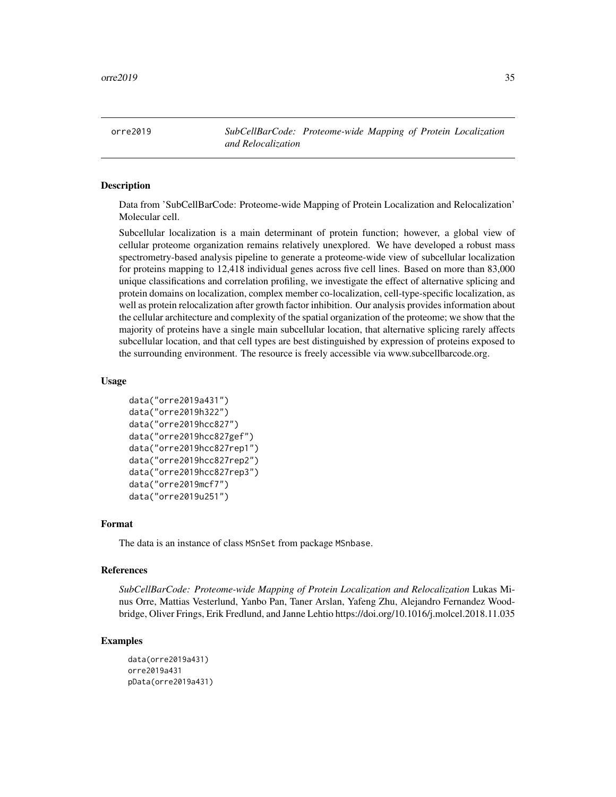<span id="page-34-0"></span>orre2019 *SubCellBarCode: Proteome-wide Mapping of Protein Localization and Relocalization*

# **Description**

Data from 'SubCellBarCode: Proteome-wide Mapping of Protein Localization and Relocalization' Molecular cell.

Subcellular localization is a main determinant of protein function; however, a global view of cellular proteome organization remains relatively unexplored. We have developed a robust mass spectrometry-based analysis pipeline to generate a proteome-wide view of subcellular localization for proteins mapping to 12,418 individual genes across five cell lines. Based on more than 83,000 unique classifications and correlation profiling, we investigate the effect of alternative splicing and protein domains on localization, complex member co-localization, cell-type-specific localization, as well as protein relocalization after growth factor inhibition. Our analysis provides information about the cellular architecture and complexity of the spatial organization of the proteome; we show that the majority of proteins have a single main subcellular location, that alternative splicing rarely affects subcellular location, and that cell types are best distinguished by expression of proteins exposed to the surrounding environment. The resource is freely accessible via www.subcellbarcode.org.

# Usage

```
data("orre2019a431")
data("orre2019h322")
data("orre2019hcc827")
data("orre2019hcc827gef")
data("orre2019hcc827rep1")
data("orre2019hcc827rep2")
data("orre2019hcc827rep3")
data("orre2019mcf7")
data("orre2019u251")
```
#### Format

The data is an instance of class MSnSet from package MSnbase.

#### References

*SubCellBarCode: Proteome-wide Mapping of Protein Localization and Relocalization* Lukas Minus Orre, Mattias Vesterlund, Yanbo Pan, Taner Arslan, Yafeng Zhu, Alejandro Fernandez Woodbridge, Oliver Frings, Erik Fredlund, and Janne Lehtio https://doi.org/10.1016/j.molcel.2018.11.035

```
data(orre2019a431)
orre2019a431
pData(orre2019a431)
```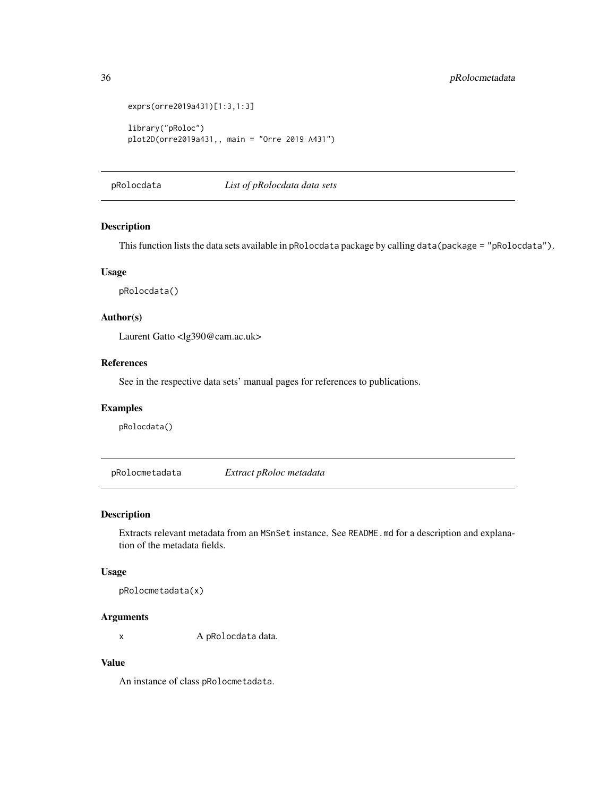```
exprs(orre2019a431)[1:3,1:3]
library("pRoloc")
plot2D(orre2019a431,, main = "Orre 2019 A431")
```
pRolocdata *List of pRolocdata data sets*

# Description

This function lists the data sets available in pRolocdata package by calling data(package = "pRolocdata").

### Usage

pRolocdata()

# Author(s)

Laurent Gatto <lg390@cam.ac.uk>

# References

See in the respective data sets' manual pages for references to publications.

# Examples

pRolocdata()

pRolocmetadata *Extract pRoloc metadata*

# Description

Extracts relevant metadata from an MSnSet instance. See README.md for a description and explanation of the metadata fields.

# Usage

pRolocmetadata(x)

# Arguments

x A pRolocdata data.

# Value

An instance of class pRolocmetadata.

<span id="page-35-0"></span>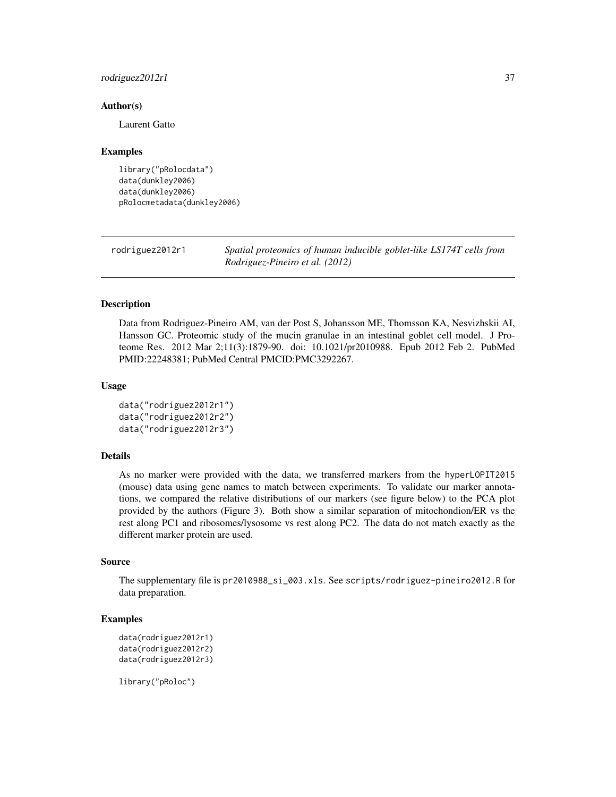# <span id="page-36-0"></span>rodriguez2012r1 37

#### Author(s)

Laurent Gatto

#### Examples

```
library("pRolocdata")
data(dunkley2006)
data(dunkley2006)
pRolocmetadata(dunkley2006)
```
rodriguez2012r1 *Spatial proteomics of human inducible goblet-like LS174T cells from Rodriguez-Pineiro et al. (2012)*

# Description

Data from Rodriguez-Pineiro AM, van der Post S, Johansson ME, Thomsson KA, Nesvizhskii AI, Hansson GC. Proteomic study of the mucin granulae in an intestinal goblet cell model. J Proteome Res. 2012 Mar 2;11(3):1879-90. doi: 10.1021/pr2010988. Epub 2012 Feb 2. PubMed PMID:22248381; PubMed Central PMCID:PMC3292267.

# Usage

```
data("rodriguez2012r1")
data("rodriguez2012r2")
data("rodriguez2012r3")
```
# Details

As no marker were provided with the data, we transferred markers from the hyperLOPIT2015 (mouse) data using gene names to match between experiments. To validate our marker annotations, we compared the relative distributions of our markers (see figure below) to the PCA plot provided by the authors (Figure 3). Both show a similar separation of mitochondion/ER vs the rest along PC1 and ribosomes/lysosome vs rest along PC2. The data do not match exactly as the different marker protein are used.

#### Source

The supplementary file is pr2010988\_si\_003.xls. See scripts/rodriguez-pineiro2012.R for data preparation.

# Examples

```
data(rodriguez2012r1)
data(rodriguez2012r2)
data(rodriguez2012r3)
```
library("pRoloc")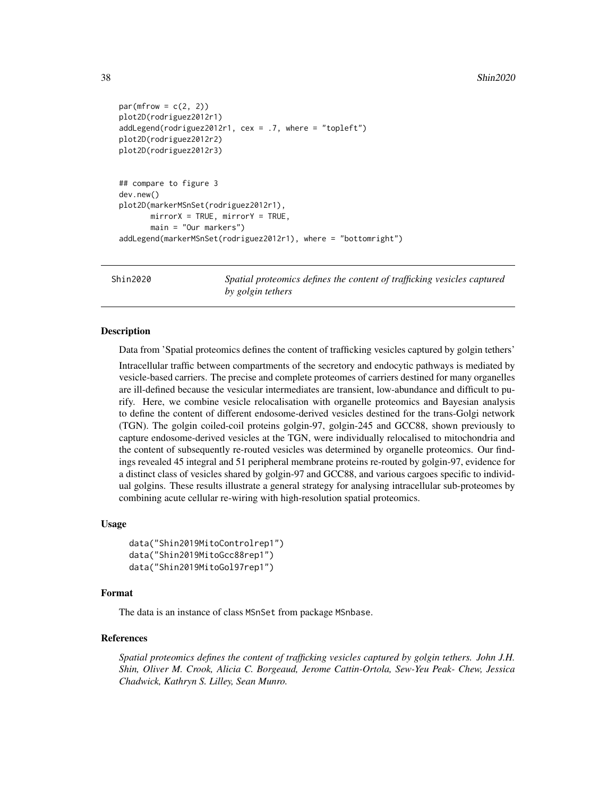```
par(mfrow = c(2, 2))plot2D(rodriguez2012r1)
addLegend(rodriguez2012r1, cex = .7, where = "topleft")
plot2D(rodriguez2012r2)
plot2D(rodriguez2012r3)
## compare to figure 3
dev.new()
plot2D(markerMSnSet(rodriguez2012r1),
      mirrorX = TRUE, mirrorY = TRUE,
      main = "Our markers")
addLegend(markerMSnSet(rodriguez2012r1), where = "bottomright")
```
Shin2020 *Spatial proteomics defines the content of trafficking vesicles captured by golgin tethers*

#### Description

Data from 'Spatial proteomics defines the content of trafficking vesicles captured by golgin tethers'

Intracellular traffic between compartments of the secretory and endocytic pathways is mediated by vesicle-based carriers. The precise and complete proteomes of carriers destined for many organelles are ill-defined because the vesicular intermediates are transient, low-abundance and difficult to purify. Here, we combine vesicle relocalisation with organelle proteomics and Bayesian analysis to define the content of different endosome-derived vesicles destined for the trans-Golgi network (TGN). The golgin coiled-coil proteins golgin-97, golgin-245 and GCC88, shown previously to capture endosome-derived vesicles at the TGN, were individually relocalised to mitochondria and the content of subsequently re-routed vesicles was determined by organelle proteomics. Our findings revealed 45 integral and 51 peripheral membrane proteins re-routed by golgin-97, evidence for a distinct class of vesicles shared by golgin-97 and GCC88, and various cargoes specific to individual golgins. These results illustrate a general strategy for analysing intracellular sub-proteomes by combining acute cellular re-wiring with high-resolution spatial proteomics.

# Usage

```
data("Shin2019MitoControlrep1")
data("Shin2019MitoGcc88rep1")
data("Shin2019MitoGol97rep1")
```
#### Format

The data is an instance of class MSnSet from package MSnbase.

#### References

*Spatial proteomics defines the content of trafficking vesicles captured by golgin tethers. John J.H. Shin, Oliver M. Crook, Alicia C. Borgeaud, Jerome Cattin-Ortola, Sew-Yeu Peak- Chew, Jessica Chadwick, Kathryn S. Lilley, Sean Munro.*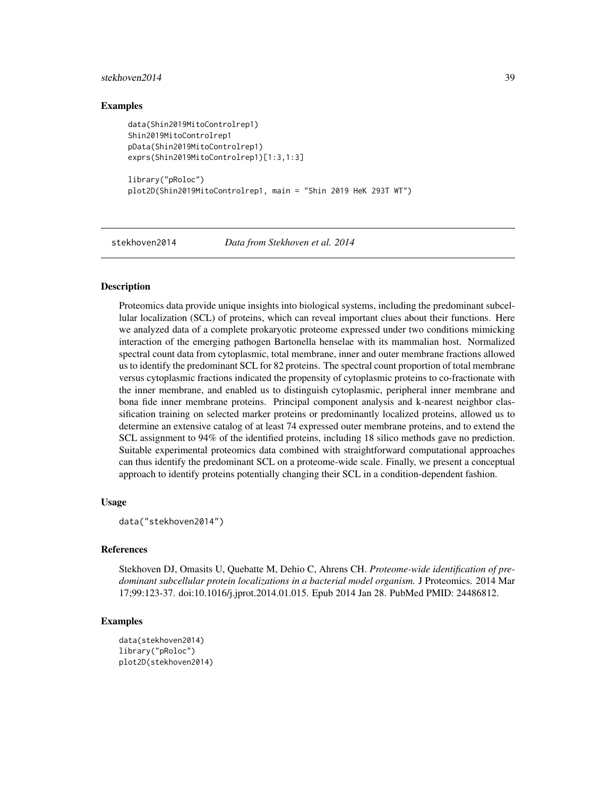#### <span id="page-38-0"></span>stekhoven2014 39

# Examples

```
data(Shin2019MitoControlrep1)
Shin2019MitoControlrep1
pData(Shin2019MitoControlrep1)
exprs(Shin2019MitoControlrep1)[1:3,1:3]
library("pRoloc")
plot2D(Shin2019MitoControlrep1, main = "Shin 2019 HeK 293T WT")
```
stekhoven2014 *Data from Stekhoven et al. 2014*

# Description

Proteomics data provide unique insights into biological systems, including the predominant subcellular localization (SCL) of proteins, which can reveal important clues about their functions. Here we analyzed data of a complete prokaryotic proteome expressed under two conditions mimicking interaction of the emerging pathogen Bartonella henselae with its mammalian host. Normalized spectral count data from cytoplasmic, total membrane, inner and outer membrane fractions allowed us to identify the predominant SCL for 82 proteins. The spectral count proportion of total membrane versus cytoplasmic fractions indicated the propensity of cytoplasmic proteins to co-fractionate with the inner membrane, and enabled us to distinguish cytoplasmic, peripheral inner membrane and bona fide inner membrane proteins. Principal component analysis and k-nearest neighbor classification training on selected marker proteins or predominantly localized proteins, allowed us to determine an extensive catalog of at least 74 expressed outer membrane proteins, and to extend the SCL assignment to 94% of the identified proteins, including 18 silico methods gave no prediction. Suitable experimental proteomics data combined with straightforward computational approaches can thus identify the predominant SCL on a proteome-wide scale. Finally, we present a conceptual approach to identify proteins potentially changing their SCL in a condition-dependent fashion.

### Usage

```
data("stekhoven2014")
```
#### References

Stekhoven DJ, Omasits U, Quebatte M, Dehio C, Ahrens CH. *Proteome-wide identification of predominant subcellular protein localizations in a bacterial model organism.* J Proteomics. 2014 Mar 17;99:123-37. doi:10.1016/j.jprot.2014.01.015. Epub 2014 Jan 28. PubMed PMID: 24486812.

```
data(stekhoven2014)
library("pRoloc")
plot2D(stekhoven2014)
```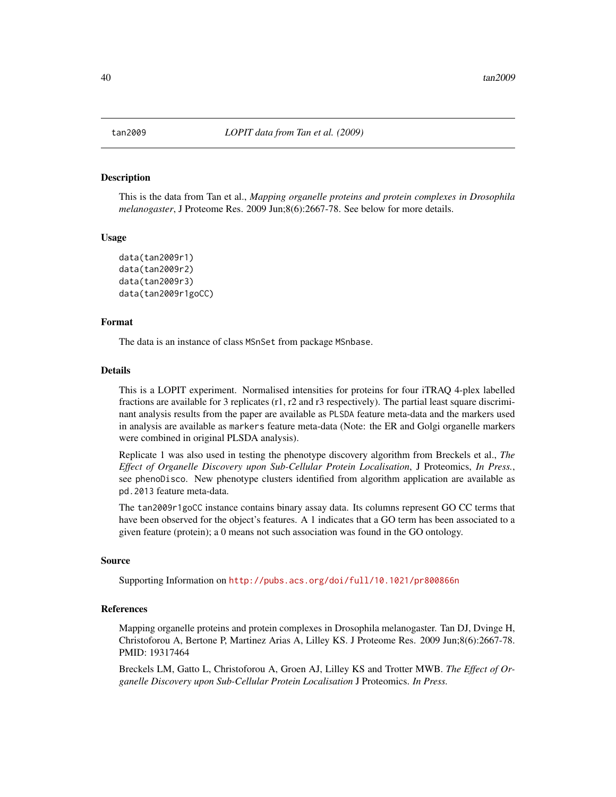#### Description

This is the data from Tan et al., *Mapping organelle proteins and protein complexes in Drosophila melanogaster*, J Proteome Res. 2009 Jun;8(6):2667-78. See below for more details.

#### Usage

```
data(tan2009r1)
data(tan2009r2)
data(tan2009r3)
data(tan2009r1goCC)
```
# Format

The data is an instance of class MSnSet from package MSnbase.

# Details

This is a LOPIT experiment. Normalised intensities for proteins for four iTRAQ 4-plex labelled fractions are available for 3 replicates (r1, r2 and r3 respectively). The partial least square discriminant analysis results from the paper are available as PLSDA feature meta-data and the markers used in analysis are available as markers feature meta-data (Note: the ER and Golgi organelle markers were combined in original PLSDA analysis).

Replicate 1 was also used in testing the phenotype discovery algorithm from Breckels et al., *The Effect of Organelle Discovery upon Sub-Cellular Protein Localisation*, J Proteomics, *In Press.*, see phenoDisco. New phenotype clusters identified from algorithm application are available as pd.2013 feature meta-data.

The tan2009r1goCC instance contains binary assay data. Its columns represent GO CC terms that have been observed for the object's features. A 1 indicates that a GO term has been associated to a given feature (protein); a 0 means not such association was found in the GO ontology.

#### Source

Supporting Information on <http://pubs.acs.org/doi/full/10.1021/pr800866n>

# References

Mapping organelle proteins and protein complexes in Drosophila melanogaster. Tan DJ, Dvinge H, Christoforou A, Bertone P, Martinez Arias A, Lilley KS. J Proteome Res. 2009 Jun;8(6):2667-78. PMID: 19317464

Breckels LM, Gatto L, Christoforou A, Groen AJ, Lilley KS and Trotter MWB. *The Effect of Organelle Discovery upon Sub-Cellular Protein Localisation* J Proteomics. *In Press.*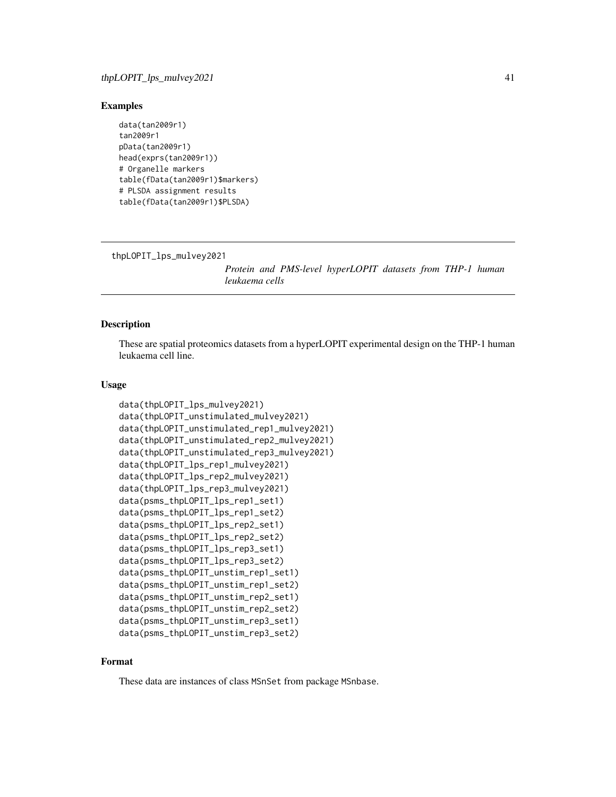# <span id="page-40-0"></span>Examples

```
data(tan2009r1)
tan2009r1
pData(tan2009r1)
head(exprs(tan2009r1))
# Organelle markers
table(fData(tan2009r1)$markers)
# PLSDA assignment results
table(fData(tan2009r1)$PLSDA)
```
thpLOPIT\_lps\_mulvey2021

*Protein and PMS-level hyperLOPIT datasets from THP-1 human leukaema cells*

# Description

These are spatial proteomics datasets from a hyperLOPIT experimental design on the THP-1 human leukaema cell line.

# Usage

```
data(thpLOPIT_lps_mulvey2021)
data(thpLOPIT_unstimulated_mulvey2021)
data(thpLOPIT_unstimulated_rep1_mulvey2021)
data(thpLOPIT_unstimulated_rep2_mulvey2021)
data(thpLOPIT_unstimulated_rep3_mulvey2021)
data(thpLOPIT_lps_rep1_mulvey2021)
data(thpLOPIT_lps_rep2_mulvey2021)
data(thpLOPIT_lps_rep3_mulvey2021)
data(psms_thpLOPIT_lps_rep1_set1)
data(psms_thpLOPIT_lps_rep1_set2)
data(psms_thpLOPIT_lps_rep2_set1)
data(psms_thpLOPIT_lps_rep2_set2)
data(psms_thpLOPIT_lps_rep3_set1)
data(psms_thpLOPIT_lps_rep3_set2)
data(psms_thpLOPIT_unstim_rep1_set1)
data(psms_thpLOPIT_unstim_rep1_set2)
data(psms_thpLOPIT_unstim_rep2_set1)
data(psms_thpLOPIT_unstim_rep2_set2)
data(psms_thpLOPIT_unstim_rep3_set1)
data(psms_thpLOPIT_unstim_rep3_set2)
```
# Format

These data are instances of class MSnSet from package MSnbase.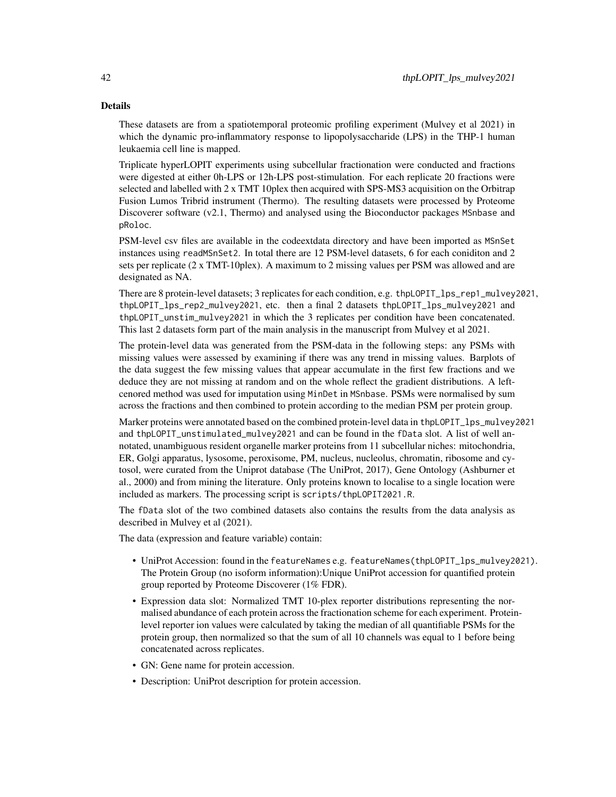#### Details

These datasets are from a spatiotemporal proteomic profiling experiment (Mulvey et al 2021) in which the dynamic pro-inflammatory response to lipopolysaccharide (LPS) in the THP-1 human leukaemia cell line is mapped.

Triplicate hyperLOPIT experiments using subcellular fractionation were conducted and fractions were digested at either 0h-LPS or 12h-LPS post-stimulation. For each replicate 20 fractions were selected and labelled with 2 x TMT 10plex then acquired with SPS-MS3 acquisition on the Orbitrap Fusion Lumos Tribrid instrument (Thermo). The resulting datasets were processed by Proteome Discoverer software (v2.1, Thermo) and analysed using the Bioconductor packages MSnbase and pRoloc.

PSM-level csv files are available in the codeextdata directory and have been imported as MSnSet instances using readMSnSet2. In total there are 12 PSM-level datasets, 6 for each coniditon and 2 sets per replicate (2 x TMT-10plex). A maximum to 2 missing values per PSM was allowed and are designated as NA.

There are 8 protein-level datasets; 3 replicates for each condition, e.g. thpLOPIT\_lps\_rep1\_mulvey2021, thpLOPIT\_lps\_rep2\_mulvey2021, etc. then a final 2 datasets thpLOPIT\_lps\_mulvey2021 and thpLOPIT\_unstim\_mulvey2021 in which the 3 replicates per condition have been concatenated. This last 2 datasets form part of the main analysis in the manuscript from Mulvey et al 2021.

The protein-level data was generated from the PSM-data in the following steps: any PSMs with missing values were assessed by examining if there was any trend in missing values. Barplots of the data suggest the few missing values that appear accumulate in the first few fractions and we deduce they are not missing at random and on the whole reflect the gradient distributions. A leftcenored method was used for imputation using MinDet in MSnbase. PSMs were normalised by sum across the fractions and then combined to protein according to the median PSM per protein group.

Marker proteins were annotated based on the combined protein-level data in thpLOPIT\_lps\_mulvey2021 and thpLOPIT\_unstimulated\_mulvey2021 and can be found in the fData slot. A list of well annotated, unambiguous resident organelle marker proteins from 11 subcellular niches: mitochondria, ER, Golgi apparatus, lysosome, peroxisome, PM, nucleus, nucleolus, chromatin, ribosome and cytosol, were curated from the Uniprot database (The UniProt, 2017), Gene Ontology (Ashburner et al., 2000) and from mining the literature. Only proteins known to localise to a single location were included as markers. The processing script is scripts/thpLOPIT2021.R.

The fData slot of the two combined datasets also contains the results from the data analysis as described in Mulvey et al (2021).

The data (expression and feature variable) contain:

- UniProt Accession: found in the featureNames e.g. featureNames(thpLOPIT\_lps\_mulvey2021). The Protein Group (no isoform information):Unique UniProt accession for quantified protein group reported by Proteome Discoverer (1% FDR).
- Expression data slot: Normalized TMT 10-plex reporter distributions representing the normalised abundance of each protein across the fractionation scheme for each experiment. Proteinlevel reporter ion values were calculated by taking the median of all quantifiable PSMs for the protein group, then normalized so that the sum of all 10 channels was equal to 1 before being concatenated across replicates.
- GN: Gene name for protein accession.
- Description: UniProt description for protein accession.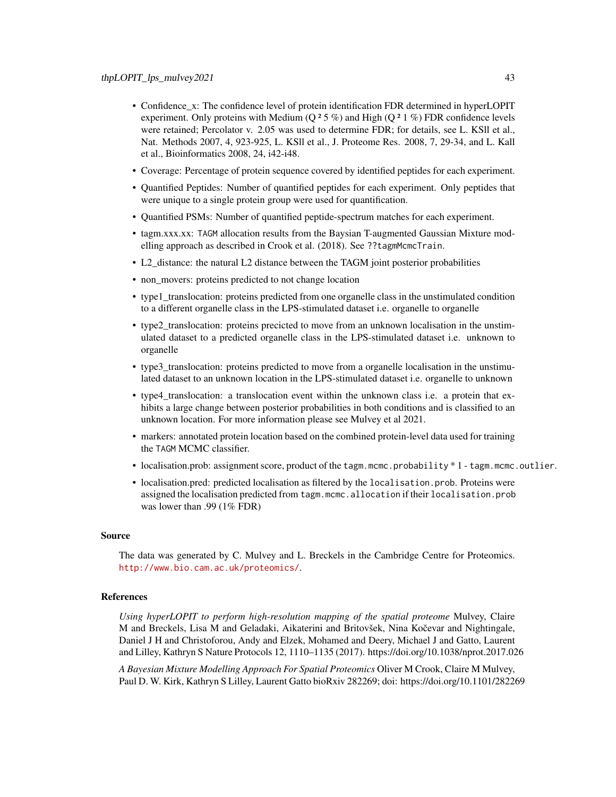- Confidence\_x: The confidence level of protein identification FDR determined in hyperLOPIT experiment. Only proteins with Medium (Q  $2.5\%$ ) and High (Q  $2.1\%$ ) FDR confidence levels were retained; Percolator v. 2.05 was used to determine FDR; for details, see L. KSll et al., Nat. Methods 2007, 4, 923-925, L. KSll et al., J. Proteome Res. 2008, 7, 29-34, and L. Kall et al., Bioinformatics 2008, 24, i42-i48.
- Coverage: Percentage of protein sequence covered by identified peptides for each experiment.
- Quantified Peptides: Number of quantified peptides for each experiment. Only peptides that were unique to a single protein group were used for quantification.
- Quantified PSMs: Number of quantified peptide-spectrum matches for each experiment.
- tagm.xxx.xx: TAGM allocation results from the Baysian T-augmented Gaussian Mixture modelling approach as described in Crook et al. (2018). See ??tagmMcmcTrain.
- L2 distance: the natural L2 distance between the TAGM joint posterior probabilities
- non\_movers: proteins predicted to not change location
- type1\_translocation: proteins predicted from one organelle class in the unstimulated condition to a different organelle class in the LPS-stimulated dataset i.e. organelle to organelle
- type2\_translocation: proteins precicted to move from an unknown localisation in the unstimulated dataset to a predicted organelle class in the LPS-stimulated dataset i.e. unknown to organelle
- type3 translocation: proteins predicted to move from a organelle localisation in the unstimulated dataset to an unknown location in the LPS-stimulated dataset i.e. organelle to unknown
- type4 translocation: a translocation event within the unknown class i.e. a protein that exhibits a large change between posterior probabilities in both conditions and is classified to an unknown location. For more information please see Mulvey et al 2021.
- markers: annotated protein location based on the combined protein-level data used for training the TAGM MCMC classifier.
- localisation.prob: assignment score, product of the tagm.mcmc.probability \* 1 tagm.mcmc.outlier.
- localisation.pred: predicted localisation as filtered by the localisation.prob. Proteins were assigned the localisation predicted from tagm.mcmc.allocation if their localisation.prob was lower than .99 (1% FDR)

# Source

The data was generated by C. Mulvey and L. Breckels in the Cambridge Centre for Proteomics. <http://www.bio.cam.ac.uk/proteomics/>.

# References

*Using hyperLOPIT to perform high-resolution mapping of the spatial proteome* Mulvey, Claire M and Breckels, Lisa M and Geladaki, Aikaterini and Britovšek, Nina Kočevar and Nightingale, Daniel J H and Christoforou, Andy and Elzek, Mohamed and Deery, Michael J and Gatto, Laurent and Lilley, Kathryn S Nature Protocols 12, 1110–1135 (2017). https://doi.org/10.1038/nprot.2017.026

*A Bayesian Mixture Modelling Approach For Spatial Proteomics* Oliver M Crook, Claire M Mulvey, Paul D. W. Kirk, Kathryn S Lilley, Laurent Gatto bioRxiv 282269; doi: https://doi.org/10.1101/282269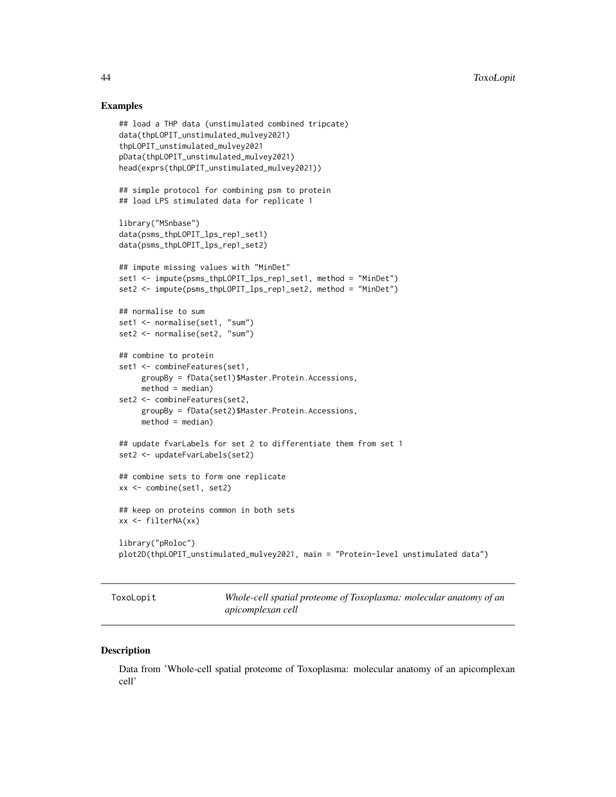# Examples

```
## load a THP data (unstimulated combined tripcate)
data(thpLOPIT_unstimulated_mulvey2021)
thpLOPIT_unstimulated_mulvey2021
pData(thpLOPIT_unstimulated_mulvey2021)
head(exprs(thpLOPIT_unstimulated_mulvey2021))
## simple protocol for combining psm to protein
## load LPS stimulated data for replicate 1
library("MSnbase")
data(psms_thpLOPIT_lps_rep1_set1)
data(psms_thpLOPIT_lps_rep1_set2)
## impute missing values with "MinDet"
set1 <- impute(psms_thpLOPIT_lps_rep1_set1, method = "MinDet")
set2 <- impute(psms_thpLOPIT_lps_rep1_set2, method = "MinDet")
## normalise to sum
set1 <- normalise(set1, "sum")
set2 <- normalise(set2, "sum")
## combine to protein
set1 <- combineFeatures(set1,
     groupBy = fData(set1)$Master.Protein.Accessions,
     method = median)set2 <- combineFeatures(set2,
     groupBy = fData(set2)$Master.Protein.Accessions,
     method = median)## update fvarLabels for set 2 to differentiate them from set 1
set2 <- updateFvarLabels(set2)
## combine sets to form one replicate
xx <- combine(set1, set2)
## keep on proteins common in both sets
xx <- filterNA(xx)
library("pRoloc")
plot2D(thpLOPIT_unstimulated_mulvey2021, main = "Protein-level unstimulated data")
```
ToxoLopit *Whole-cell spatial proteome of Toxoplasma: molecular anatomy of an apicomplexan cell*

#### **Description**

Data from 'Whole-cell spatial proteome of Toxoplasma: molecular anatomy of an apicomplexan cell'

<span id="page-43-0"></span>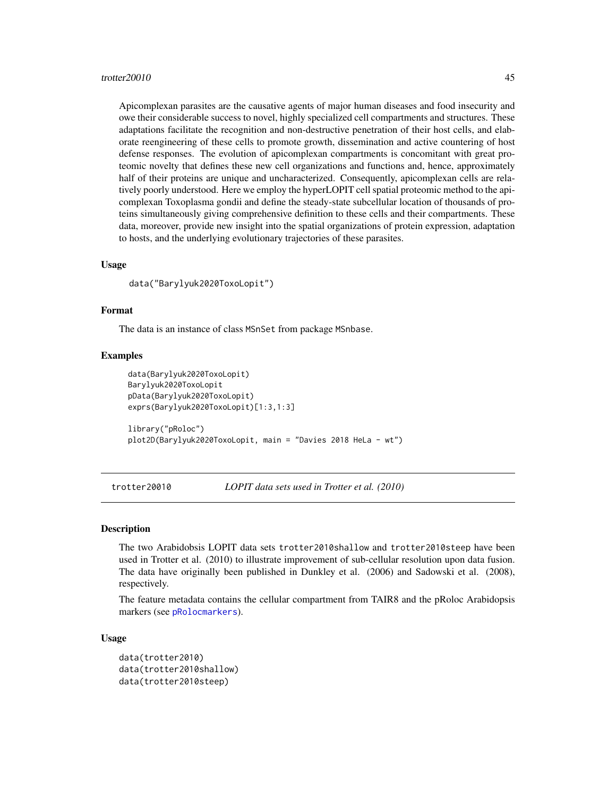#### <span id="page-44-0"></span>trotter20010 45

Apicomplexan parasites are the causative agents of major human diseases and food insecurity and owe their considerable success to novel, highly specialized cell compartments and structures. These adaptations facilitate the recognition and non-destructive penetration of their host cells, and elaborate reengineering of these cells to promote growth, dissemination and active countering of host defense responses. The evolution of apicomplexan compartments is concomitant with great proteomic novelty that defines these new cell organizations and functions and, hence, approximately half of their proteins are unique and uncharacterized. Consequently, apicomplexan cells are relatively poorly understood. Here we employ the hyperLOPIT cell spatial proteomic method to the apicomplexan Toxoplasma gondii and define the steady-state subcellular location of thousands of proteins simultaneously giving comprehensive definition to these cells and their compartments. These data, moreover, provide new insight into the spatial organizations of protein expression, adaptation to hosts, and the underlying evolutionary trajectories of these parasites.

# Usage

data("Barylyuk2020ToxoLopit")

#### Format

The data is an instance of class MSnSet from package MSnbase.

#### Examples

```
data(Barylyuk2020ToxoLopit)
Barylyuk2020ToxoLopit
pData(Barylyuk2020ToxoLopit)
exprs(Barylyuk2020ToxoLopit)[1:3,1:3]
library("pRoloc")
plot2D(Barylyuk2020ToxoLopit, main = "Davies 2018 HeLa - wt")
```
trotter20010 *LOPIT data sets used in Trotter et al. (2010)*

#### **Description**

The two Arabidobsis LOPIT data sets trotter2010shallow and trotter2010steep have been used in Trotter et al. (2010) to illustrate improvement of sub-cellular resolution upon data fusion. The data have originally been published in Dunkley et al. (2006) and Sadowski et al. (2008), respectively.

The feature metadata contains the cellular compartment from TAIR8 and the pRoloc Arabidopsis markers (see [pRolocmarkers](#page-0-0)).

#### Usage

```
data(trotter2010)
data(trotter2010shallow)
data(trotter2010steep)
```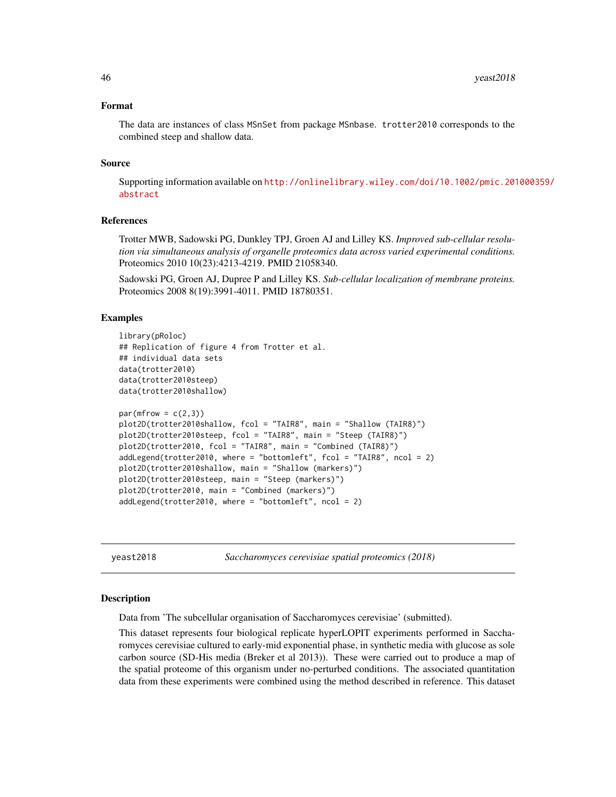#### <span id="page-45-0"></span>Format

The data are instances of class MSnSet from package MSnbase. trotter2010 corresponds to the combined steep and shallow data.

#### Source

Supporting information available on [http://onlinelibrary.wiley.com/doi/10.1002/pmic.201](http://onlinelibrary.wiley.com/doi/10.1002/pmic.201000359/abstract)000359/ [abstract](http://onlinelibrary.wiley.com/doi/10.1002/pmic.201000359/abstract)

# References

Trotter MWB, Sadowski PG, Dunkley TPJ, Groen AJ and Lilley KS. *Improved sub-cellular resolution via simultaneous analysis of organelle proteomics data across varied experimental conditions.* Proteomics 2010 10(23):4213-4219. PMID 21058340.

Sadowski PG, Groen AJ, Dupree P and Lilley KS. *Sub-cellular localization of membrane proteins.* Proteomics 2008 8(19):3991-4011. PMID 18780351.

#### Examples

```
library(pRoloc)
## Replication of figure 4 from Trotter et al.
## individual data sets
data(trotter2010)
data(trotter2010steep)
data(trotter2010shallow)
par(mfrow = c(2,3))plot2D(trotter2010shallow, fcol = "TAIR8", main = "Shallow (TAIR8)")
plot2D(trotter2010steep, fcol = "TAIR8", main = "Steep (TAIR8)")
plot2D(trotter2010, fcol = "TAIR8", main = "Combined (TAIR8)")
addLegend(trotter2010, where = "bottomleft", fcol = "TAIR8", ncol = 2)
plot2D(trotter2010shallow, main = "Shallow (markers)")
plot2D(trotter2010steep, main = "Steep (markers)")
plot2D(trotter2010, main = "Combined (markers)")
addLegend(trotter2010, where = "bottomleft", ncol = 2)
```
yeast2018 *Saccharomyces cerevisiae spatial proteomics (2018)*

#### Description

Data from 'The subcellular organisation of Saccharomyces cerevisiae' (submitted).

This dataset represents four biological replicate hyperLOPIT experiments performed in Saccharomyces cerevisiae cultured to early-mid exponential phase, in synthetic media with glucose as sole carbon source (SD-His media (Breker et al 2013)). These were carried out to produce a map of the spatial proteome of this organism under no-perturbed conditions. The associated quantitation data from these experiments were combined using the method described in reference. This dataset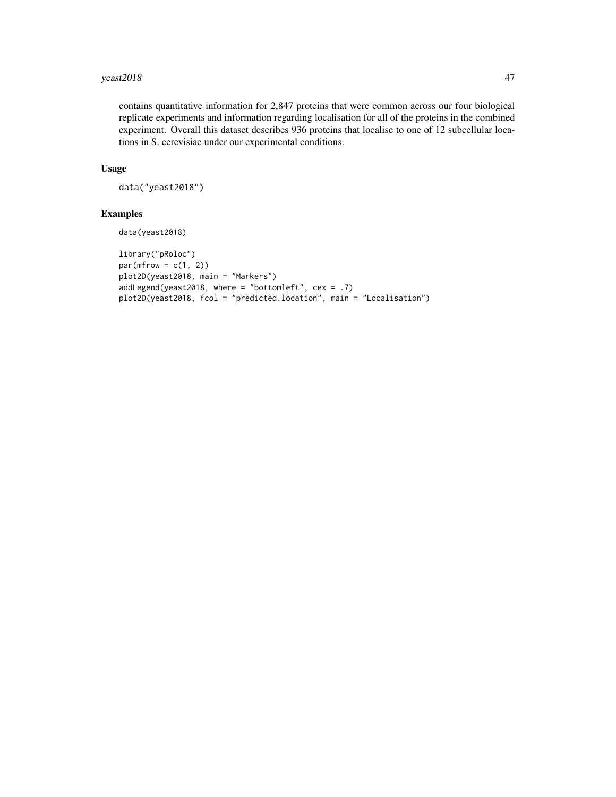# yeast2018 47

contains quantitative information for 2,847 proteins that were common across our four biological replicate experiments and information regarding localisation for all of the proteins in the combined experiment. Overall this dataset describes 936 proteins that localise to one of 12 subcellular locations in S. cerevisiae under our experimental conditions.

# Usage

```
data("yeast2018")
```

```
data(yeast2018)
```

```
library("pRoloc")
par(mfrow = c(1, 2))plot2D(yeast2018, main = "Markers")
addLegend(yeast2018, where = "bottomleft", cex = .7)
plot2D(yeast2018, fcol = "predicted.location", main = "Localisation")
```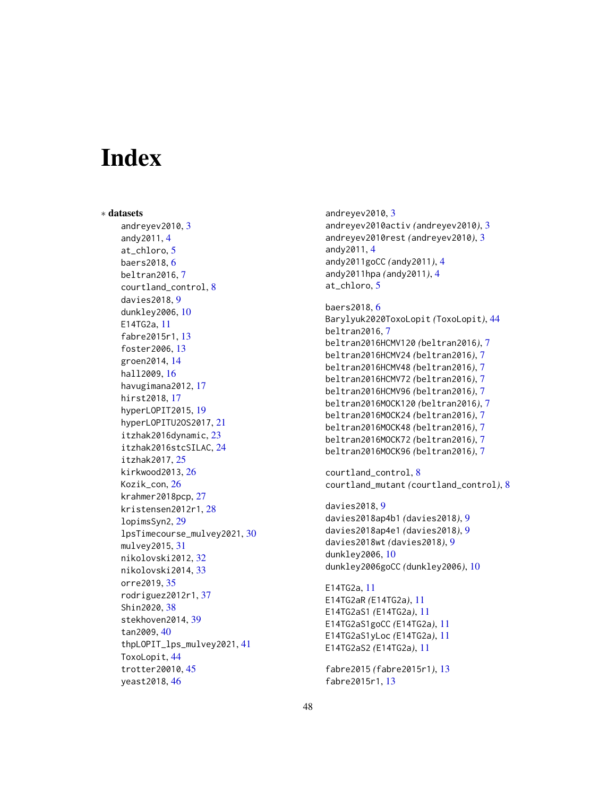# <span id="page-47-0"></span>Index

∗ datasets andreyev2010, [3](#page-2-0) andy2011, [4](#page-3-0) at\_chloro, [5](#page-4-0) baers2018, [6](#page-5-0) beltran2016, [7](#page-6-0) courtland\_control, [8](#page-7-0) davies2018, [9](#page-8-0) dunkley2006, [10](#page-9-0) E14TG2a, [11](#page-10-0) fabre2015r1, [13](#page-12-0) foster2006, [13](#page-12-0) groen2014, [14](#page-13-0) hall2009, [16](#page-15-0) havugimana2012, [17](#page-16-0) hirst2018, [17](#page-16-0) hyperLOPIT2015, [19](#page-18-0) hyperLOPITU2OS2017, [21](#page-20-0) itzhak2016dynamic, [23](#page-22-0) itzhak2016stcSILAC, [24](#page-23-0) itzhak2017, [25](#page-24-0) kirkwood2013, [26](#page-25-0) Kozik\_con, [26](#page-25-0) krahmer2018pcp, [27](#page-26-0) kristensen2012r1, [28](#page-27-0) lopimsSyn2, [29](#page-28-0) lpsTimecourse\_mulvey2021, [30](#page-29-0) mulvey2015, [31](#page-30-0) nikolovski2012, [32](#page-31-0) nikolovski2014, [33](#page-32-0) orre2019, [35](#page-34-0) rodriguez2012r1, [37](#page-36-0) Shin2020, [38](#page-37-0) stekhoven2014, [39](#page-38-0) tan2009, [40](#page-39-0) thpLOPIT\_lps\_mulvey2021, [41](#page-40-0) ToxoLopit, [44](#page-43-0) trotter20010, [45](#page-44-0) yeast2018, [46](#page-45-0)

andreyev2010, [3](#page-2-0) andreyev2010activ *(*andreyev2010*)*, [3](#page-2-0) andreyev2010rest *(*andreyev2010*)*, [3](#page-2-0) andy2011, [4](#page-3-0) andy2011goCC *(*andy2011*)*, [4](#page-3-0) andy2011hpa *(*andy2011*)*, [4](#page-3-0) at\_chloro, [5](#page-4-0)

```
baers2018, 6
Barylyuk2020ToxoLopit (ToxoLopit), 44
beltran2016, 7
beltran2016HCMV120 (beltran2016), 7
beltran2016HCMV24 (beltran2016), 7
beltran2016HCMV48 (beltran2016), 7
beltran2016HCMV72 (beltran2016), 7
beltran2016HCMV96 (beltran2016), 7
beltran2016MOCK120 (beltran2016), 7
beltran2016MOCK24 (beltran2016), 7
beltran2016MOCK48 (beltran2016), 7
beltran2016MOCK72 (beltran2016), 7
beltran2016MOCK96 (beltran2016), 7
```
courtland\_control, [8](#page-7-0) courtland\_mutant *(*courtland\_control*)*, [8](#page-7-0)

davies2018, [9](#page-8-0) davies2018ap4b1 *(*davies2018*)*, [9](#page-8-0) davies2018ap4e1 *(*davies2018*)*, [9](#page-8-0) davies2018wt *(*davies2018*)*, [9](#page-8-0) dunkley2006, [10](#page-9-0) dunkley2006goCC *(*dunkley2006*)*, [10](#page-9-0)

E14TG2a, [11](#page-10-0) E14TG2aR *(*E14TG2a*)*, [11](#page-10-0) E14TG2aS1 *(*E14TG2a*)*, [11](#page-10-0) E14TG2aS1goCC *(*E14TG2a*)*, [11](#page-10-0) E14TG2aS1yLoc *(*E14TG2a*)*, [11](#page-10-0) E14TG2aS2 *(*E14TG2a*)*, [11](#page-10-0)

```
fabre2015 (fabre2015r1), 13
fabre2015r1, 13
```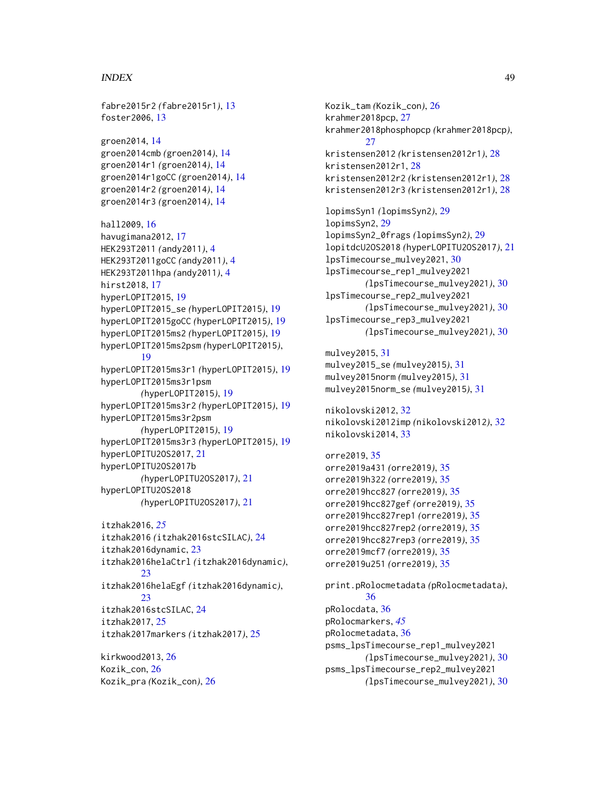#### INDEX 49

fabre2015r2 *(*fabre2015r1*)*, [13](#page-12-0) foster2006, [13](#page-12-0) groen2014, [14](#page-13-0) groen2014cmb *(*groen2014*)*, [14](#page-13-0) groen2014r1 *(*groen2014*)*, [14](#page-13-0) groen2014r1goCC *(*groen2014*)*, [14](#page-13-0) groen2014r2 *(*groen2014*)*, [14](#page-13-0) groen2014r3 *(*groen2014*)*, [14](#page-13-0) hall2009, [16](#page-15-0) havugimana2012, [17](#page-16-0) HEK293T2011 *(*andy2011*)*, [4](#page-3-0) HEK293T2011goCC *(*andy2011*)*, [4](#page-3-0) HEK293T2011hpa *(*andy2011*)*, [4](#page-3-0) hirst2018, [17](#page-16-0) hyperLOPIT2015, [19](#page-18-0) hyperLOPIT2015\_se *(*hyperLOPIT2015*)*, [19](#page-18-0) hyperLOPIT2015goCC *(*hyperLOPIT2015*)*, [19](#page-18-0) hyperLOPIT2015ms2 *(*hyperLOPIT2015*)*, [19](#page-18-0) hyperLOPIT2015ms2psm *(*hyperLOPIT2015*)*, [19](#page-18-0) hyperLOPIT2015ms3r1 *(*hyperLOPIT2015*)*, [19](#page-18-0) hyperLOPIT2015ms3r1psm *(*hyperLOPIT2015*)*, [19](#page-18-0) hyperLOPIT2015ms3r2 *(*hyperLOPIT2015*)*, [19](#page-18-0) hyperLOPIT2015ms3r2psm *(*hyperLOPIT2015*)*, [19](#page-18-0) hyperLOPIT2015ms3r3 *(*hyperLOPIT2015*)*, [19](#page-18-0) hyperLOPITU2OS2017, [21](#page-20-0) hyperLOPITU2OS2017b *(*hyperLOPITU2OS2017*)*, [21](#page-20-0) hyperLOPITU2OS2018 *(*hyperLOPITU2OS2017*)*, [21](#page-20-0) itzhak2016, *[25](#page-24-0)* itzhak2016 *(*itzhak2016stcSILAC*)*, [24](#page-23-0)

```
itzhak2016dynamic, 23
itzhak2016helaCtrl (itzhak2016dynamic),
        23
itzhak2016helaEgf (itzhak2016dynamic),
        23
itzhak2016stcSILAC, 24
itzhak2017, 25
itzhak2017markers (itzhak2017), 25
```
kirkwood2013, [26](#page-25-0) Kozik\_con, [26](#page-25-0) Kozik\_pra *(*Kozik\_con*)*, [26](#page-25-0) Kozik\_tam *(*Kozik\_con*)*, [26](#page-25-0) krahmer2018pcp, [27](#page-26-0) krahmer2018phosphopcp *(*krahmer2018pcp*)*,  $27$ kristensen2012 *(*kristensen2012r1*)*, [28](#page-27-0) kristensen2012r1, [28](#page-27-0) kristensen2012r2 *(*kristensen2012r1*)*, [28](#page-27-0) kristensen2012r3 *(*kristensen2012r1*)*, [28](#page-27-0) lopimsSyn1 *(*lopimsSyn2*)*, [29](#page-28-0) lopimsSyn2, [29](#page-28-0) lopimsSyn2\_0frags *(*lopimsSyn2*)*, [29](#page-28-0) lopitdcU2OS2018 *(*hyperLOPITU2OS2017*)*, [21](#page-20-0) lpsTimecourse\_mulvey2021, [30](#page-29-0) lpsTimecourse\_rep1\_mulvey2021 *(*lpsTimecourse\_mulvey2021*)*, [30](#page-29-0) lpsTimecourse\_rep2\_mulvey2021 *(*lpsTimecourse\_mulvey2021*)*, [30](#page-29-0) lpsTimecourse\_rep3\_mulvey2021 *(*lpsTimecourse\_mulvey2021*)*, [30](#page-29-0) mulvey2015, [31](#page-30-0) mulvey2015\_se *(*mulvey2015*)*, [31](#page-30-0) mulvey2015norm *(*mulvey2015*)*, [31](#page-30-0) mulvey2015norm\_se *(*mulvey2015*)*, [31](#page-30-0) nikolovski2012, [32](#page-31-0) nikolovski2012imp *(*nikolovski2012*)*, [32](#page-31-0) nikolovski2014, [33](#page-32-0) orre2019, [35](#page-34-0) orre2019a431 *(*orre2019*)*, [35](#page-34-0) orre2019h322 *(*orre2019*)*, [35](#page-34-0) orre2019hcc827 *(*orre2019*)*, [35](#page-34-0) orre2019hcc827gef *(*orre2019*)*, [35](#page-34-0) orre2019hcc827rep1 *(*orre2019*)*, [35](#page-34-0) orre2019hcc827rep2 *(*orre2019*)*, [35](#page-34-0) orre2019hcc827rep3 *(*orre2019*)*, [35](#page-34-0) orre2019mcf7 *(*orre2019*)*, [35](#page-34-0) orre2019u251 *(*orre2019*)*, [35](#page-34-0) print.pRolocmetadata *(*pRolocmetadata*)*, [36](#page-35-0) pRolocdata, [36](#page-35-0) pRolocmarkers, *[45](#page-44-0)* pRolocmetadata, [36](#page-35-0) psms\_lpsTimecourse\_rep1\_mulvey2021 *(*lpsTimecourse\_mulvey2021*)*, [30](#page-29-0) psms\_lpsTimecourse\_rep2\_mulvey2021 *(*lpsTimecourse\_mulvey2021*)*, [30](#page-29-0)